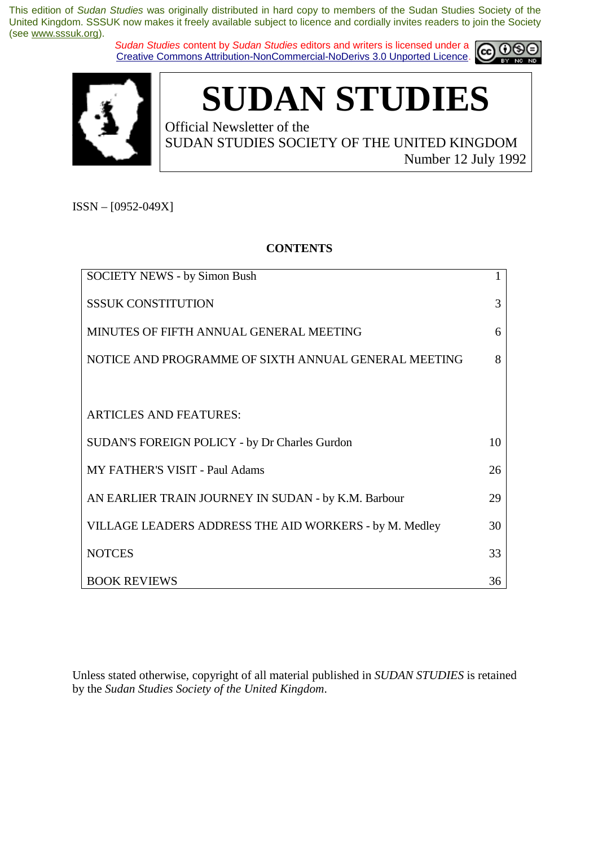*Sudan Studies* content by *Sudan Studies* editors and writers is licensed under a Creative Commons Attribution-NonCommercial-NoDerivs 3.0 Unported Licence.





# **SUDAN STUDIES**

Official Newsletter of the SUDAN STUDIES SOCIETY OF THE UNITED KINGDOM Number 12 July 1992

ISSN – [0952-049X]

#### **CONTENTS**

| <b>SOCIETY NEWS - by Simon Bush</b>                    |    |
|--------------------------------------------------------|----|
| <b>SSSUK CONSTITUTION</b>                              | 3  |
| MINUTES OF FIFTH ANNUAL GENERAL MEETING                | 6  |
| NOTICE AND PROGRAMME OF SIXTH ANNUAL GENERAL MEETING   | 8  |
|                                                        |    |
| <b>ARTICLES AND FEATURES:</b>                          |    |
| SUDAN'S FOREIGN POLICY - by Dr Charles Gurdon          | 10 |
| <b>MY FATHER'S VISIT - Paul Adams</b>                  | 26 |
| AN EARLIER TRAIN JOURNEY IN SUDAN - by K.M. Barbour    | 29 |
| VILLAGE LEADERS ADDRESS THE AID WORKERS - by M. Medley | 30 |
| <b>NOTCES</b>                                          | 33 |
| <b>BOOK REVIEWS</b>                                    | 36 |

Unless stated otherwise, copyright of all material published in *SUDAN STUDIES* is retained by the *Sudan Studies Society of the United Kingdom*.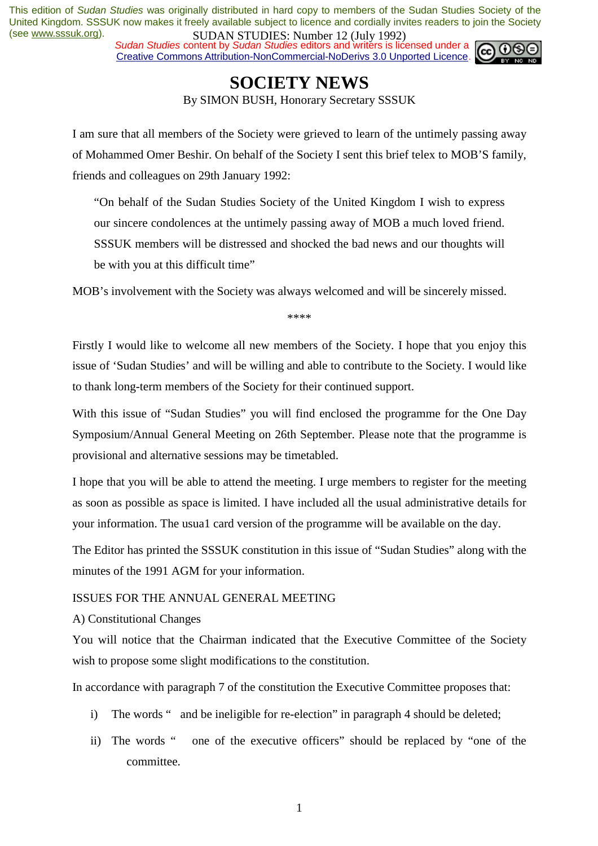*Sudan Studies* content by *Sudan Studies* editors and writers is licensed under a Creative Commons Attribution-NonCommercial-NoDerivs 3.0 Unported Licence.



### **SOCIETY NEWS**

By SIMON BUSH, Honorary Secretary SSSUK

I am sure that all members of the Society were grieved to learn of the untimely passing away of Mohammed Omer Beshir. On behalf of the Society I sent this brief telex to MOB'S family, friends and colleagues on 29th January 1992:

"On behalf of the Sudan Studies Society of the United Kingdom I wish to express our sincere condolences at the untimely passing away of MOB a much loved friend. SSSUK members will be distressed and shocked the bad news and our thoughts will be with you at this difficult time"

MOB's involvement with the Society was always welcomed and will be sincerely missed.

\*\*\*\*

Firstly I would like to welcome all new members of the Society. I hope that you enjoy this issue of 'Sudan Studies' and will be willing and able to contribute to the Society. I would like to thank long-term members of the Society for their continued support.

With this issue of "Sudan Studies" you will find enclosed the programme for the One Day Symposium/Annual General Meeting on 26th September. Please note that the programme is provisional and alternative sessions may be timetabled.

I hope that you will be able to attend the meeting. I urge members to register for the meeting as soon as possible as space is limited. I have included all the usual administrative details for your information. The usua1 card version of the programme will be available on the day.

The Editor has printed the SSSUK constitution in this issue of "Sudan Studies" along with the minutes of the 1991 AGM for your information.

#### ISSUES FOR THE ANNUAL GENERAL MEETING

A) Constitutional Changes

You will notice that the Chairman indicated that the Executive Committee of the Society wish to propose some slight modifications to the constitution.

In accordance with paragraph 7 of the constitution the Executive Committee proposes that:

- i) The words " and be ineligible for re-election" in paragraph 4 should be deleted;
- ii) The words " one of the executive officers" should be replaced by "one of the committee.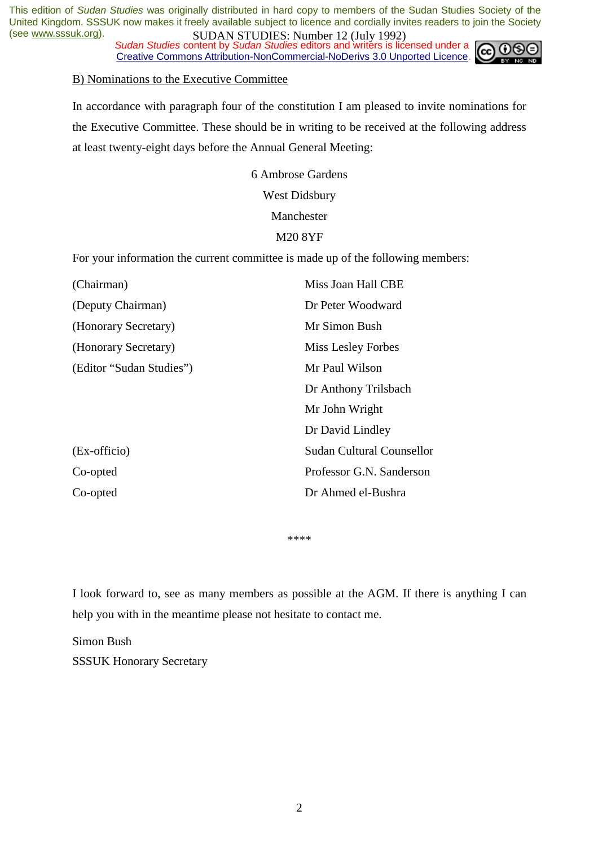*Sudan Studies* content by *Sudan Studies* editors and writers is licensed under a Creative Commons Attribution-NonCommercial-NoDerivs 3.0 Unported Licence.



#### B) Nominations to the Executive Committee

In accordance with paragraph four of the constitution I am pleased to invite nominations for the Executive Committee. These should be in writing to be received at the following address at least twenty-eight days before the Annual General Meeting:

> 6 Ambrose Gardens West Didsbury Manchester M20 8YF

For your information the current committee is made up of the following members:

| (Chairman)               | Miss Joan Hall CBE               |
|--------------------------|----------------------------------|
| (Deputy Chairman)        | Dr Peter Woodward                |
| (Honorary Secretary)     | Mr Simon Bush                    |
| (Honorary Secretary)     | Miss Lesley Forbes               |
| (Editor "Sudan Studies") | Mr Paul Wilson                   |
|                          | Dr Anthony Trilsbach             |
|                          | Mr John Wright                   |
|                          | Dr David Lindley                 |
| (Ex-officio)             | <b>Sudan Cultural Counsellor</b> |
| Co-opted                 | Professor G.N. Sanderson         |
| Co-opted                 | Dr Ahmed el-Bushra               |

\*\*\*\*

I look forward to, see as many members as possible at the AGM. If there is anything I can help you with in the meantime please not hesitate to contact me.

Simon Bush SSSUK Honorary Secretary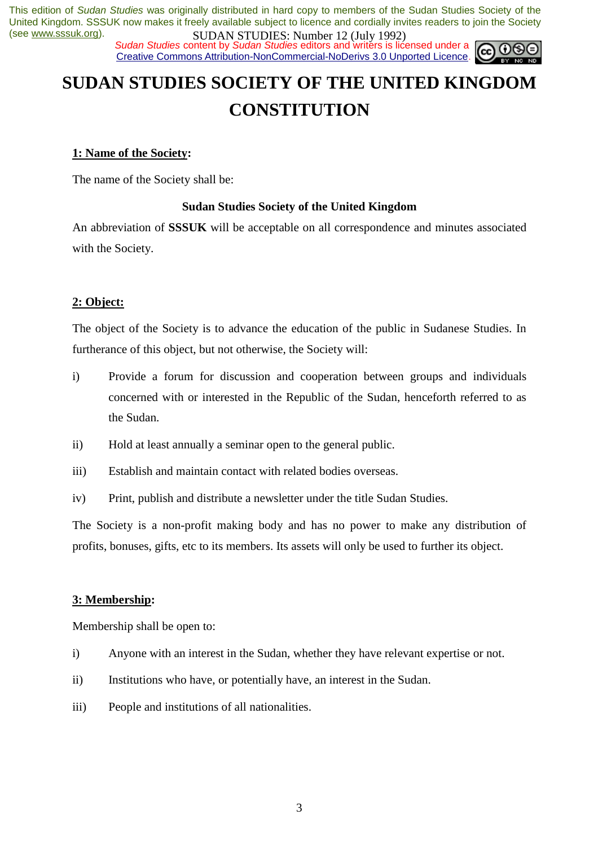*Sudan Studies* content by *Sudan Studies* editors and writers is licensed under a Creative Commons Attribution-NonCommercial-NoDerivs 3.0 Unported Licence.



# **SUDAN STUDIES SOCIETY OF THE UNITED KINGDOM CONSTITUTION**

#### **1: Name of the Society:**

The name of the Society shall be:

#### **Sudan Studies Society of the United Kingdom**

An abbreviation of **SSSUK** will be acceptable on all correspondence and minutes associated with the Society.

#### **2: Object:**

The object of the Society is to advance the education of the public in Sudanese Studies. In furtherance of this object, but not otherwise, the Society will:

- i) Provide a forum for discussion and cooperation between groups and individuals concerned with or interested in the Republic of the Sudan, henceforth referred to as the Sudan.
- ii) Hold at least annually a seminar open to the general public.
- iii) Establish and maintain contact with related bodies overseas.
- iv) Print, publish and distribute a newsletter under the title Sudan Studies.

The Society is a non-profit making body and has no power to make any distribution of profits, bonuses, gifts, etc to its members. Its assets will only be used to further its object.

#### **3: Membership:**

Membership shall be open to:

- i) Anyone with an interest in the Sudan, whether they have relevant expertise or not.
- ii) Institutions who have, or potentially have, an interest in the Sudan.
- iii) People and institutions of all nationalities.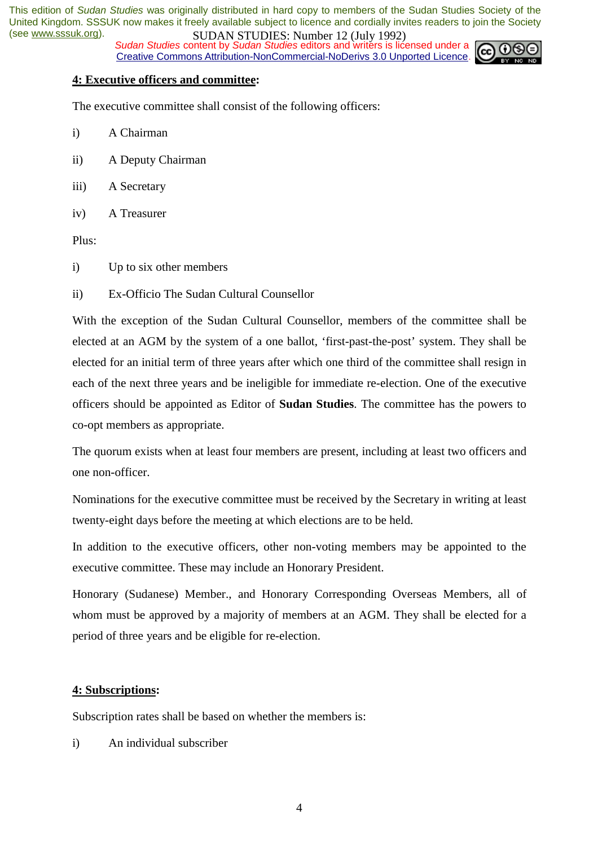**SUDAN STUDES.** NUTTED 12 (July 1772)<br>Sudan Studies content by Sudan Studies editors and writers is licensed under a Creative Commons Attribution-NonCommercial-NoDerivs 3.0 Unported Licence.



#### **4: Executive officers and committee:**

The executive committee shall consist of the following officers:

- i) A Chairman
- ii) A Deputy Chairman
- iii) A Secretary
- iv) A Treasurer

Plus:

- i) Up to six other members
- ii) Ex-Officio The Sudan Cultural Counsellor

With the exception of the Sudan Cultural Counsellor, members of the committee shall be elected at an AGM by the system of a one ballot, 'first-past-the-post' system. They shall be elected for an initial term of three years after which one third of the committee shall resign in each of the next three years and be ineligible for immediate re-election. One of the executive officers should be appointed as Editor of **Sudan Studies**. The committee has the powers to co-opt members as appropriate.

The quorum exists when at least four members are present, including at least two officers and one non-officer.

Nominations for the executive committee must be received by the Secretary in writing at least twenty-eight days before the meeting at which elections are to be held.

In addition to the executive officers, other non-voting members may be appointed to the executive committee. These may include an Honorary President.

Honorary (Sudanese) Member., and Honorary Corresponding Overseas Members, all of whom must be approved by a majority of members at an AGM. They shall be elected for a period of three years and be eligible for re-election.

#### **4: Subscriptions:**

Subscription rates shall be based on whether the members is:

i) An individual subscriber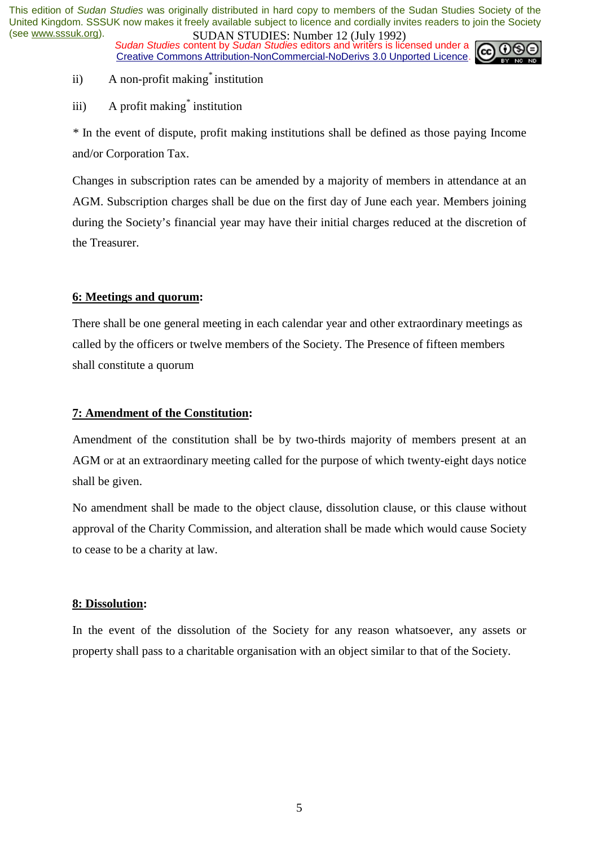*Sudan Studies* content by *Sudan Studies* editors and writers is licensed under a Creative Commons Attribution-NonCommercial-NoDerivs 3.0 Unported Licence.



- ii) A non-profit making*\** institution
- iii) A profit making*\** institution

*\** In the event of dispute, profit making institutions shall be defined as those paying Income and/or Corporation Tax.

Changes in subscription rates can be amended by a majority of members in attendance at an AGM. Subscription charges shall be due on the first day of June each year. Members joining during the Society's financial year may have their initial charges reduced at the discretion of the Treasurer.

#### **6: Meetings and quorum:**

There shall be one general meeting in each calendar year and other extraordinary meetings as called by the officers or twelve members of the Society. The Presence of fifteen members shall constitute a quorum

#### **7: Amendment of the Constitution:**

Amendment of the constitution shall be by two-thirds majority of members present at an AGM or at an extraordinary meeting called for the purpose of which twenty-eight days notice shall be given.

No amendment shall be made to the object clause, dissolution clause, or this clause without approval of the Charity Commission, and alteration shall be made which would cause Society to cease to be a charity at law.

#### **8: Dissolution:**

In the event of the dissolution of the Society for any reason whatsoever, any assets or property shall pass to a charitable organisation with an object similar to that of the Society.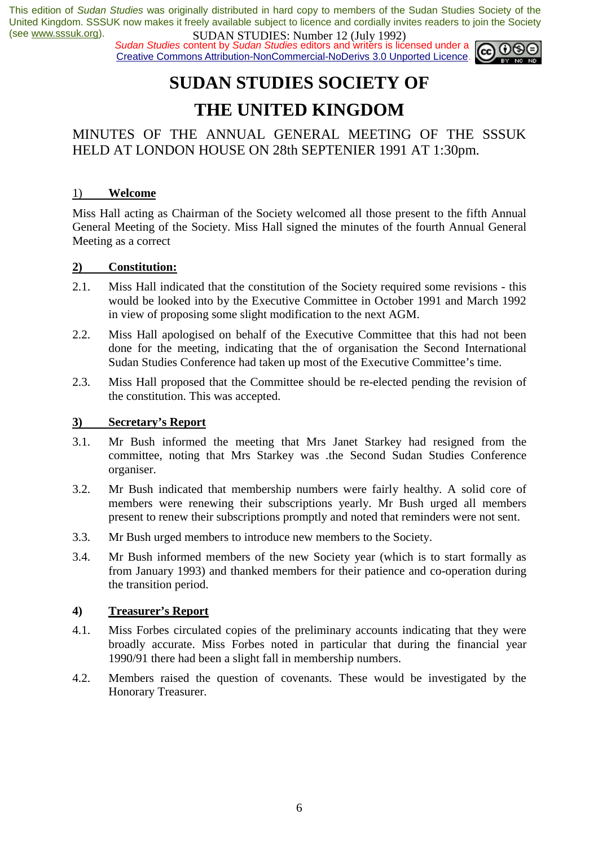**SUDAN STUDIES.** Number 12 (501) 1727<br>Sudan Studies content by Sudan Studies editors and writers is licensed under a  $\omega$  0 Creative Commons Attribution-NonCommercial-NoDerivs 3.0 Unported Licence.



# **SUDAN STUDIES SOCIETY OF THE UNITED KINGDOM**

MINUTES OF THE ANNUAL GENERAL MEETING OF THE SSSUK HELD AT LONDON HOUSE ON 28th SEPTENIER 1991 AT 1:30pm.

#### 1) **Welcome**

Miss Hall acting as Chairman of the Society welcomed all those present to the fifth Annual General Meeting of the Society. Miss Hall signed the minutes of the fourth Annual General Meeting as a correct

#### **2) Constitution:**

- 2.1. Miss Hall indicated that the constitution of the Society required some revisions this would be looked into by the Executive Committee in October 1991 and March 1992 in view of proposing some slight modification to the next AGM.
- 2.2. Miss Hall apologised on behalf of the Executive Committee that this had not been done for the meeting, indicating that the of organisation the Second International Sudan Studies Conference had taken up most of the Executive Committee's time.
- 2.3. Miss Hall proposed that the Committee should be re-elected pending the revision of the constitution. This was accepted.

#### **3) Secretary's Report**

- 3.1. Mr Bush informed the meeting that Mrs Janet Starkey had resigned from the committee, noting that Mrs Starkey was .the Second Sudan Studies Conference organiser.
- 3.2. Mr Bush indicated that membership numbers were fairly healthy. A solid core of members were renewing their subscriptions yearly. Mr Bush urged all members present to renew their subscriptions promptly and noted that reminders were not sent.
- 3.3. Mr Bush urged members to introduce new members to the Society.
- 3.4. Mr Bush informed members of the new Society year (which is to start formally as from January 1993) and thanked members for their patience and co-operation during the transition period.

#### **4) Treasurer's Report**

- 4.1. Miss Forbes circulated copies of the preliminary accounts indicating that they were broadly accurate. Miss Forbes noted in particular that during the financial year 1990/91 there had been a slight fall in membership numbers.
- 4.2. Members raised the question of covenants. These would be investigated by the Honorary Treasurer.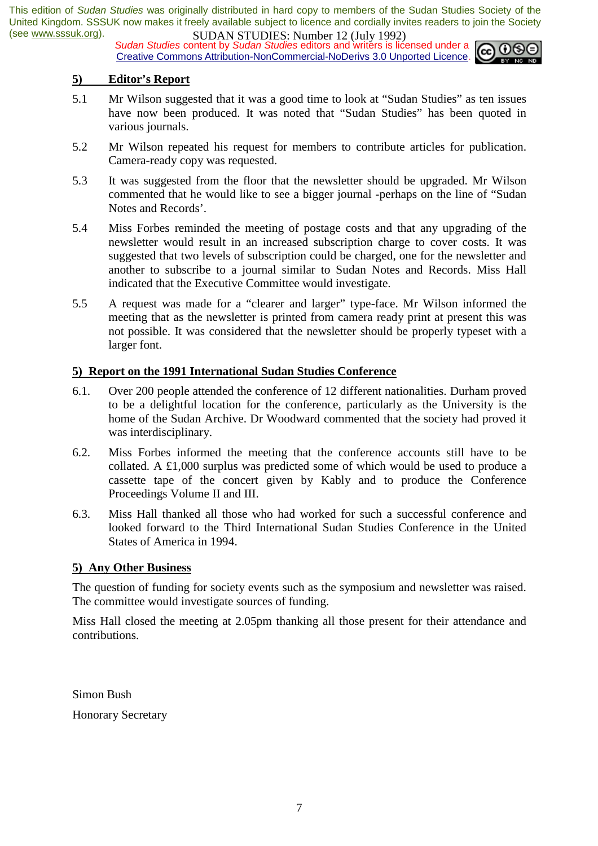**SUDAN STUDIES:** Number 12 (July 1772)<br>Sudan Studies content by Sudan Studies editors and writers is licensed under a **co.** 0 S Creative Commons Attribution-NonCommercial-NoDerivs 3.0 Unported Licence.



#### **5) Editor's Report**

- 5.1 Mr Wilson suggested that it was a good time to look at "Sudan Studies" as ten issues have now been produced. It was noted that "Sudan Studies" has been quoted in various journals.
- 5.2 Mr Wilson repeated his request for members to contribute articles for publication. Camera-ready copy was requested.
- 5.3 It was suggested from the floor that the newsletter should be upgraded. Mr Wilson commented that he would like to see a bigger journal -perhaps on the line of "Sudan Notes and Records'.
- 5.4 Miss Forbes reminded the meeting of postage costs and that any upgrading of the newsletter would result in an increased subscription charge to cover costs. It was suggested that two levels of subscription could be charged, one for the newsletter and another to subscribe to a journal similar to Sudan Notes and Records. Miss Hall indicated that the Executive Committee would investigate.
- 5.5 A request was made for a "clearer and larger" type-face. Mr Wilson informed the meeting that as the newsletter is printed from camera ready print at present this was not possible. It was considered that the newsletter should be properly typeset with a larger font.

#### **5) Report on the 1991 International Sudan Studies Conference**

- 6.1. Over 200 people attended the conference of 12 different nationalities. Durham proved to be a delightful location for the conference, particularly as the University is the home of the Sudan Archive. Dr Woodward commented that the society had proved it was interdisciplinary.
- 6.2. Miss Forbes informed the meeting that the conference accounts still have to be collated. A £1,000 surplus was predicted some of which would be used to produce a cassette tape of the concert given by Kably and to produce the Conference Proceedings Volume II and III.
- 6.3. Miss Hall thanked all those who had worked for such a successful conference and looked forward to the Third International Sudan Studies Conference in the United States of America in 1994.

#### **5) Any Other Business**

The question of funding for society events such as the symposium and newsletter was raised. The committee would investigate sources of funding.

Miss Hall closed the meeting at 2.05pm thanking all those present for their attendance and contributions.

Simon Bush Honorary Secretary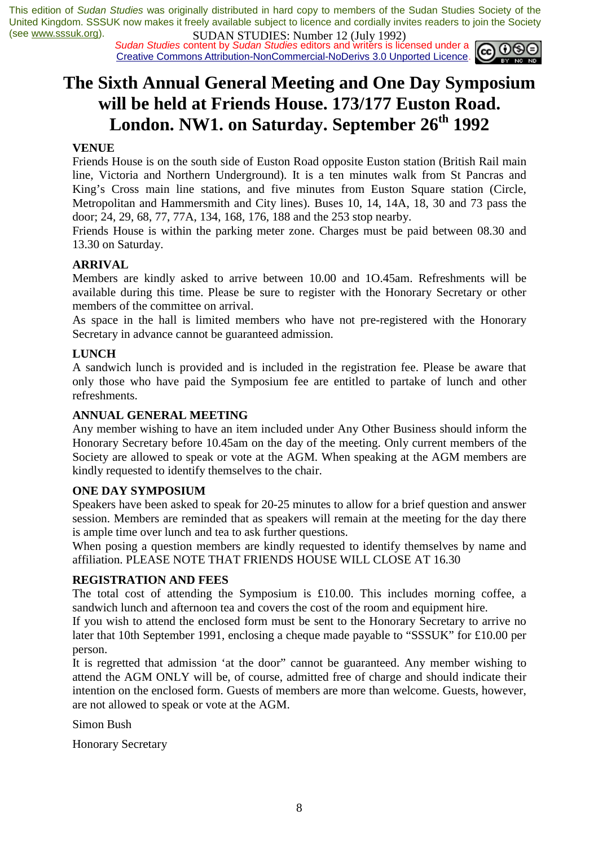*Sudan Studies* content by *Sudan Studies* editors and writers is licensed under a Creative Commons Attribution-NonCommercial-NoDerivs 3.0 Unported Licence.



### **The Sixth Annual General Meeting and One Day Symposium will be held at Friends House. 173/177 Euston Road.**  London. NW1. on Saturday. September 26<sup>th</sup> 1992

#### **VENUE**

Friends House is on the south side of Euston Road opposite Euston station (British Rail main line, Victoria and Northern Underground). It is a ten minutes walk from St Pancras and King's Cross main line stations, and five minutes from Euston Square station (Circle, Metropolitan and Hammersmith and City lines). Buses 10, 14, 14A, 18, 30 and 73 pass the door; 24, 29, 68, 77, 77A, 134, 168, 176, 188 and the 253 stop nearby.

Friends House is within the parking meter zone. Charges must be paid between 08.30 and 13.30 on Saturday.

#### **ARRIVAL**

Members are kindly asked to arrive between 10.00 and 1O.45am. Refreshments will be available during this time. Please be sure to register with the Honorary Secretary or other members of the committee on arrival.

As space in the hall is limited members who have not pre-registered with the Honorary Secretary in advance cannot be guaranteed admission.

#### **LUNCH**

A sandwich lunch is provided and is included in the registration fee. Please be aware that only those who have paid the Symposium fee are entitled to partake of lunch and other refreshments.

#### **ANNUAL GENERAL MEETING**

Any member wishing to have an item included under Any Other Business should inform the Honorary Secretary before 10.45am on the day of the meeting. Only current members of the Society are allowed to speak or vote at the AGM. When speaking at the AGM members are kindly requested to identify themselves to the chair.

#### **ONE DAY SYMPOSIUM**

Speakers have been asked to speak for 20-25 minutes to allow for a brief question and answer session. Members are reminded that as speakers will remain at the meeting for the day there is ample time over lunch and tea to ask further questions.

When posing a question members are kindly requested to identify themselves by name and affiliation. PLEASE NOTE THAT FRIENDS HOUSE WILL CLOSE AT 16.30

#### **REGISTRATION AND FEES**

The total cost of attending the Symposium is £10.00. This includes morning coffee, a sandwich lunch and afternoon tea and covers the cost of the room and equipment hire.

If you wish to attend the enclosed form must be sent to the Honorary Secretary to arrive no later that 10th September 1991, enclosing a cheque made payable to "SSSUK" for £10.00 per person.

It is regretted that admission 'at the door" cannot be guaranteed. Any member wishing to attend the AGM ONLY will be, of course, admitted free of charge and should indicate their intention on the enclosed form. Guests of members are more than welcome. Guests, however, are not allowed to speak or vote at the AGM.

Simon Bush

Honorary Secretary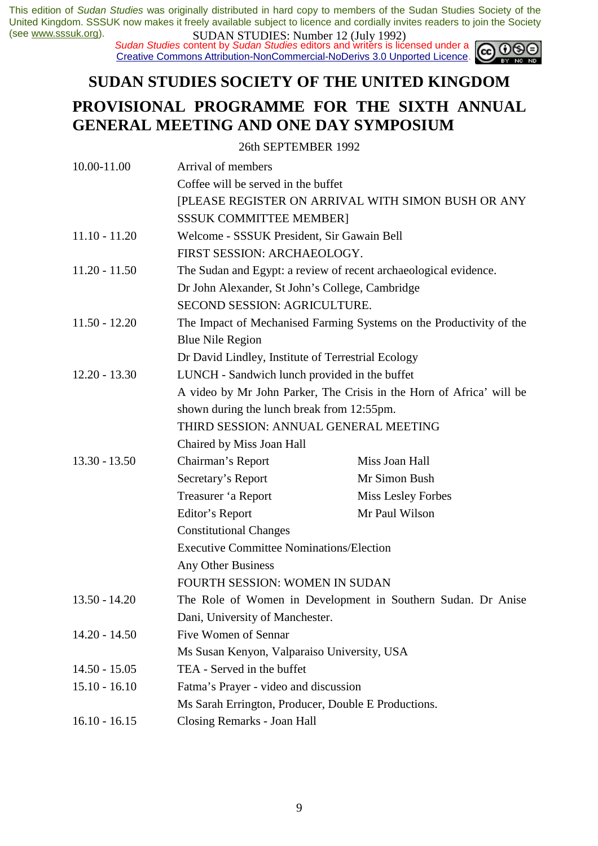*Sudan Studies* content by *Sudan Studies* editors and writers is licensed under a Creative Commons Attribution-NonCommercial-NoDerivs 3.0 Unported Licence.

### **SUDAN STUDIES SOCIETY OF THE UNITED KINGDOM PROVISIONAL PROGRAMME FOR THE SIXTH ANNUAL GENERAL MEETING AND ONE DAY SYMPOSIUM**

#### 26th SEPTEMBER 1992

| 10.00-11.00     | Arrival of members                                                                              |                    |  |  |
|-----------------|-------------------------------------------------------------------------------------------------|--------------------|--|--|
|                 | Coffee will be served in the buffet                                                             |                    |  |  |
|                 | [PLEASE REGISTER ON ARRIVAL WITH SIMON BUSH OR ANY                                              |                    |  |  |
|                 | <b>SSSUK COMMITTEE MEMBER]</b>                                                                  |                    |  |  |
| $11.10 - 11.20$ | Welcome - SSSUK President, Sir Gawain Bell<br>FIRST SESSION: ARCHAEOLOGY.                       |                    |  |  |
|                 |                                                                                                 |                    |  |  |
| $11.20 - 11.50$ | The Sudan and Egypt: a review of recent archaeological evidence.                                |                    |  |  |
|                 | Dr John Alexander, St John's College, Cambridge                                                 |                    |  |  |
|                 | <b>SECOND SESSION: AGRICULTURE.</b>                                                             |                    |  |  |
| $11.50 - 12.20$ | The Impact of Mechanised Farming Systems on the Productivity of the                             |                    |  |  |
|                 | <b>Blue Nile Region</b>                                                                         |                    |  |  |
|                 | Dr David Lindley, Institute of Terrestrial Ecology                                              |                    |  |  |
| $12.20 - 13.30$ | LUNCH - Sandwich lunch provided in the buffet                                                   |                    |  |  |
|                 | A video by Mr John Parker, The Crisis in the Horn of Africa' will be                            |                    |  |  |
|                 | shown during the lunch break from 12:55pm.<br>THIRD SESSION: ANNUAL GENERAL MEETING             |                    |  |  |
|                 |                                                                                                 |                    |  |  |
|                 | Chaired by Miss Joan Hall                                                                       |                    |  |  |
| $13.30 - 13.50$ | Chairman's Report                                                                               | Miss Joan Hall     |  |  |
|                 | Secretary's Report                                                                              | Mr Simon Bush      |  |  |
|                 | Treasurer 'a Report                                                                             | Miss Lesley Forbes |  |  |
|                 | Editor's Report                                                                                 | Mr Paul Wilson     |  |  |
|                 | <b>Constitutional Changes</b>                                                                   |                    |  |  |
|                 | <b>Executive Committee Nominations/Election</b>                                                 |                    |  |  |
|                 | Any Other Business                                                                              |                    |  |  |
|                 | FOURTH SESSION: WOMEN IN SUDAN                                                                  |                    |  |  |
| $13.50 - 14.20$ | The Role of Women in Development in Southern Sudan. Dr Anise<br>Dani, University of Manchester. |                    |  |  |
|                 |                                                                                                 |                    |  |  |
| $14.20 - 14.50$ | Five Women of Sennar                                                                            |                    |  |  |
|                 | Ms Susan Kenyon, Valparaiso University, USA                                                     |                    |  |  |
| $14.50 - 15.05$ | TEA - Served in the buffet                                                                      |                    |  |  |
| $15.10 - 16.10$ | Fatma's Prayer - video and discussion                                                           |                    |  |  |
|                 | Ms Sarah Errington, Producer, Double E Productions.                                             |                    |  |  |
| $16.10 - 16.15$ | Closing Remarks - Joan Hall                                                                     |                    |  |  |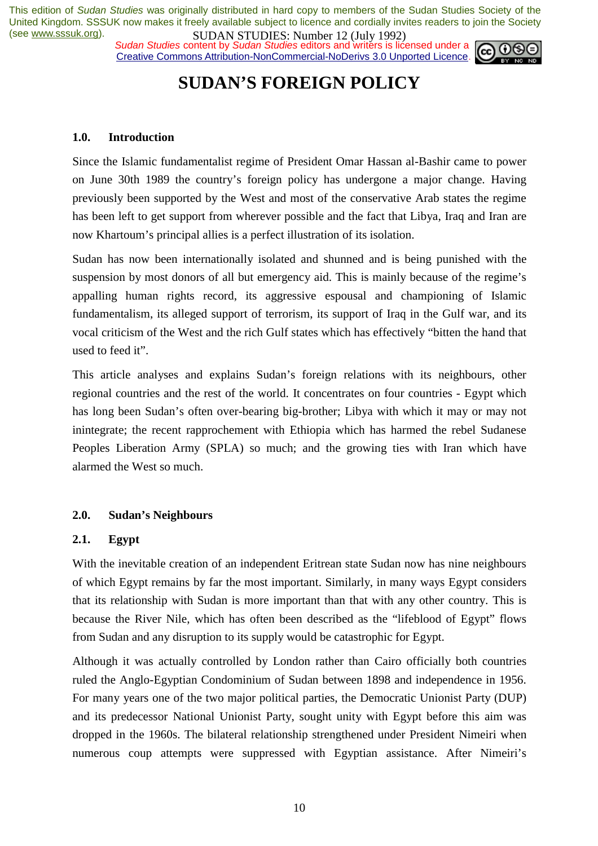*Sudan Studies* content by *Sudan Studies* editors and writers is licensed under a Creative Commons Attribution-NonCommercial-NoDerivs 3.0 Unported Licence.



### **SUDAN'S FOREIGN POLICY**

#### **1.0. Introduction**

Since the Islamic fundamentalist regime of President Omar Hassan al-Bashir came to power on June 30th 1989 the country's foreign policy has undergone a major change. Having previously been supported by the West and most of the conservative Arab states the regime has been left to get support from wherever possible and the fact that Libya, Iraq and Iran are now Khartoum's principal allies is a perfect illustration of its isolation.

Sudan has now been internationally isolated and shunned and is being punished with the suspension by most donors of all but emergency aid. This is mainly because of the regime's appalling human rights record, its aggressive espousal and championing of Islamic fundamentalism, its alleged support of terrorism, its support of Iraq in the Gulf war, and its vocal criticism of the West and the rich Gulf states which has effectively "bitten the hand that used to feed it".

This article analyses and explains Sudan's foreign relations with its neighbours, other regional countries and the rest of the world. It concentrates on four countries - Egypt which has long been Sudan's often over-bearing big-brother; Libya with which it may or may not inintegrate; the recent rapprochement with Ethiopia which has harmed the rebel Sudanese Peoples Liberation Army (SPLA) so much; and the growing ties with Iran which have alarmed the West so much.

#### **2.0. Sudan's Neighbours**

#### **2.1. Egypt**

With the inevitable creation of an independent Eritrean state Sudan now has nine neighbours of which Egypt remains by far the most important. Similarly, in many ways Egypt considers that its relationship with Sudan is more important than that with any other country. This is because the River Nile, which has often been described as the "lifeblood of Egypt" flows from Sudan and any disruption to its supply would be catastrophic for Egypt.

Although it was actually controlled by London rather than Cairo officially both countries ruled the Anglo-Egyptian Condominium of Sudan between 1898 and independence in 1956. For many years one of the two major political parties, the Democratic Unionist Party (DUP) and its predecessor National Unionist Party, sought unity with Egypt before this aim was dropped in the 1960s. The bilateral relationship strengthened under President Nimeiri when numerous coup attempts were suppressed with Egyptian assistance. After Nimeiri's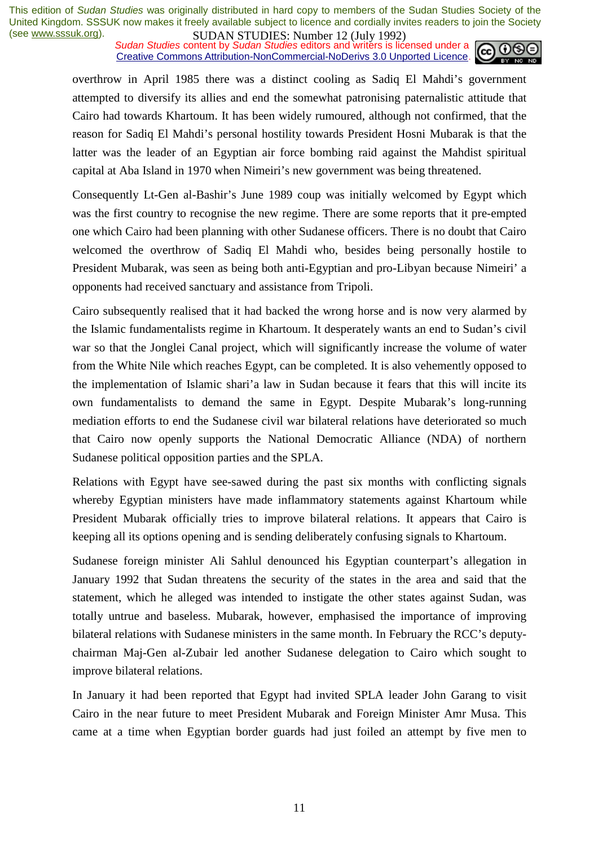**SUDAN STUDIES:** Number 12 (July 1772)<br>Sudan Studies content by Sudan Studies editors and writers is licensed under a Creative Commons Attribution-NonCommercial-NoDerivs 3.0 Unported Licence.



overthrow in April 1985 there was a distinct cooling as Sadiq El Mahdi's government attempted to diversify its allies and end the somewhat patronising paternalistic attitude that Cairo had towards Khartoum. It has been widely rumoured, although not confirmed, that the reason for Sadiq El Mahdi's personal hostility towards President Hosni Mubarak is that the latter was the leader of an Egyptian air force bombing raid against the Mahdist spiritual capital at Aba Island in 1970 when Nimeiri's new government was being threatened.

Consequently Lt-Gen al-Bashir's June 1989 coup was initially welcomed by Egypt which was the first country to recognise the new regime. There are some reports that it pre-empted one which Cairo had been planning with other Sudanese officers. There is no doubt that Cairo welcomed the overthrow of Sadiq El Mahdi who, besides being personally hostile to President Mubarak, was seen as being both anti-Egyptian and pro-Libyan because Nimeiri' a opponents had received sanctuary and assistance from Tripoli.

Cairo subsequently realised that it had backed the wrong horse and is now very alarmed by the Islamic fundamentalists regime in Khartoum. It desperately wants an end to Sudan's civil war so that the Jonglei Canal project, which will significantly increase the volume of water from the White Nile which reaches Egypt, can be completed. It is also vehemently opposed to the implementation of Islamic shari'a law in Sudan because it fears that this will incite its own fundamentalists to demand the same in Egypt. Despite Mubarak's long-running mediation efforts to end the Sudanese civil war bilateral relations have deteriorated so much that Cairo now openly supports the National Democratic Alliance (NDA) of northern Sudanese political opposition parties and the SPLA.

Relations with Egypt have see-sawed during the past six months with conflicting signals whereby Egyptian ministers have made inflammatory statements against Khartoum while President Mubarak officially tries to improve bilateral relations. It appears that Cairo is keeping all its options opening and is sending deliberately confusing signals to Khartoum.

Sudanese foreign minister Ali Sahlul denounced his Egyptian counterpart's allegation in January 1992 that Sudan threatens the security of the states in the area and said that the statement, which he alleged was intended to instigate the other states against Sudan, was totally untrue and baseless. Mubarak, however, emphasised the importance of improving bilateral relations with Sudanese ministers in the same month. In February the RCC's deputychairman Maj-Gen al-Zubair led another Sudanese delegation to Cairo which sought to improve bilateral relations.

In January it had been reported that Egypt had invited SPLA leader John Garang to visit Cairo in the near future to meet President Mubarak and Foreign Minister Amr Musa. This came at a time when Egyptian border guards had just foiled an attempt by five men to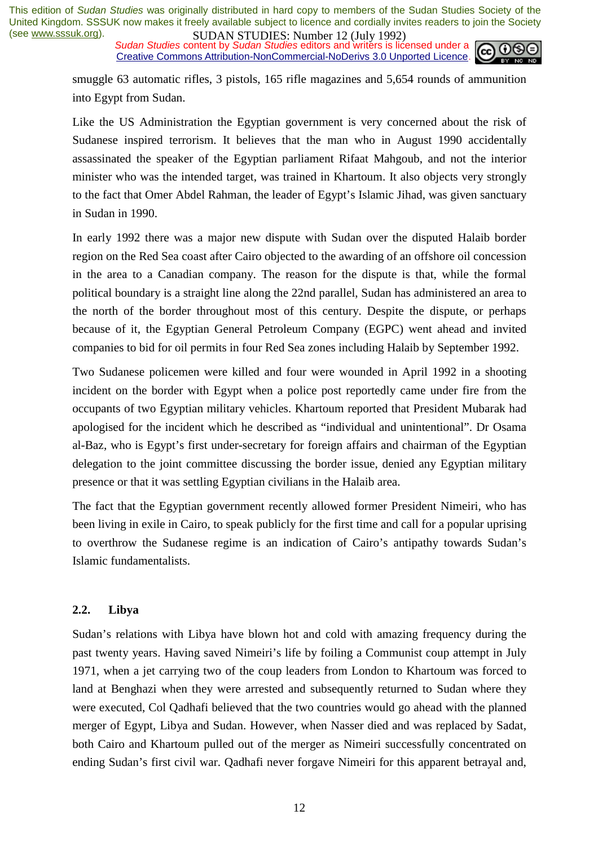**SUDAN STUDIES**. NUTTED 12 (July 1772)<br>Sudan Studies content by Sudan Studies editors and writers is licensed under a Creative Commons Attribution-NonCommercial-NoDerivs 3.0 Unported Licence.



smuggle 63 automatic rifles, 3 pistols, 165 rifle magazines and 5,654 rounds of ammunition into Egypt from Sudan.

Like the US Administration the Egyptian government is very concerned about the risk of Sudanese inspired terrorism. It believes that the man who in August 1990 accidentally assassinated the speaker of the Egyptian parliament Rifaat Mahgoub, and not the interior minister who was the intended target, was trained in Khartoum. It also objects very strongly to the fact that Omer Abdel Rahman, the leader of Egypt's Islamic Jihad, was given sanctuary in Sudan in 1990.

In early 1992 there was a major new dispute with Sudan over the disputed Halaib border region on the Red Sea coast after Cairo objected to the awarding of an offshore oil concession in the area to a Canadian company. The reason for the dispute is that, while the formal political boundary is a straight line along the 22nd parallel, Sudan has administered an area to the north of the border throughout most of this century. Despite the dispute, or perhaps because of it, the Egyptian General Petroleum Company (EGPC) went ahead and invited companies to bid for oil permits in four Red Sea zones including Halaib by September 1992.

Two Sudanese policemen were killed and four were wounded in April 1992 in a shooting incident on the border with Egypt when a police post reportedly came under fire from the occupants of two Egyptian military vehicles. Khartoum reported that President Mubarak had apologised for the incident which he described as "individual and unintentional". Dr Osama al-Baz, who is Egypt's first under-secretary for foreign affairs and chairman of the Egyptian delegation to the joint committee discussing the border issue, denied any Egyptian military presence or that it was settling Egyptian civilians in the Halaib area.

The fact that the Egyptian government recently allowed former President Nimeiri, who has been living in exile in Cairo, to speak publicly for the first time and call for a popular uprising to overthrow the Sudanese regime is an indication of Cairo's antipathy towards Sudan's Islamic fundamentalists.

#### **2.2. Libya**

Sudan's relations with Libya have blown hot and cold with amazing frequency during the past twenty years. Having saved Nimeiri's life by foiling a Communist coup attempt in July 1971, when a jet carrying two of the coup leaders from London to Khartoum was forced to land at Benghazi when they were arrested and subsequently returned to Sudan where they were executed, Col Qadhafi believed that the two countries would go ahead with the planned merger of Egypt, Libya and Sudan. However, when Nasser died and was replaced by Sadat, both Cairo and Khartoum pulled out of the merger as Nimeiri successfully concentrated on ending Sudan's first civil war. Qadhafi never forgave Nimeiri for this apparent betrayal and,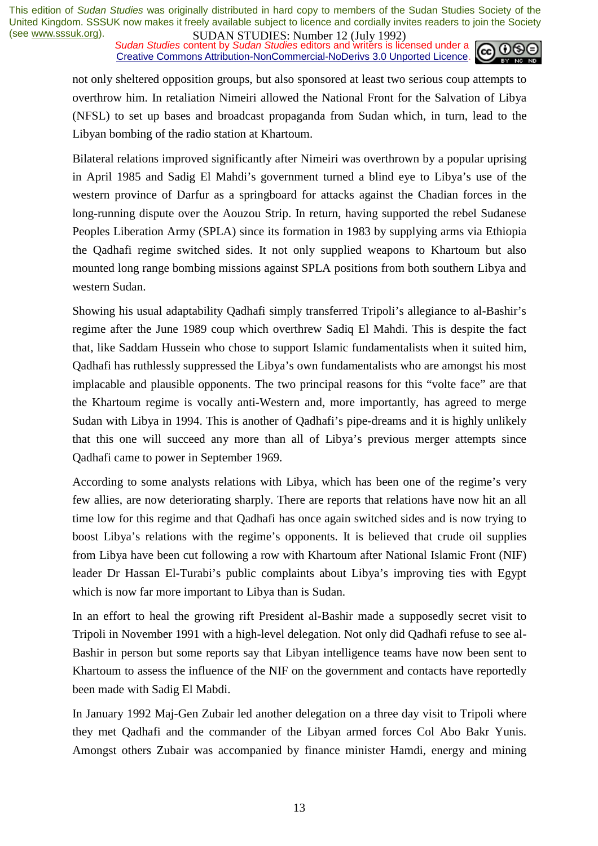**SUDAN STUDIES:** Number 12 (July 1772)<br>Sudan Studies content by Sudan Studies editors and writers is licensed under a **co.** 00 Creative Commons Attribution-NonCommercial-NoDerivs 3.0 Unported Licence.



not only sheltered opposition groups, but also sponsored at least two serious coup attempts to overthrow him. In retaliation Nimeiri allowed the National Front for the Salvation of Libya (NFSL) to set up bases and broadcast propaganda from Sudan which, in turn, lead to the Libyan bombing of the radio station at Khartoum.

Bilateral relations improved significantly after Nimeiri was overthrown by a popular uprising in April 1985 and Sadig El Mahdi's government turned a blind eye to Libya's use of the western province of Darfur as a springboard for attacks against the Chadian forces in the long-running dispute over the Aouzou Strip. In return, having supported the rebel Sudanese Peoples Liberation Army (SPLA) since its formation in 1983 by supplying arms via Ethiopia the Qadhafi regime switched sides. It not only supplied weapons to Khartoum but also mounted long range bombing missions against SPLA positions from both southern Libya and western Sudan.

Showing his usual adaptability Qadhafi simply transferred Tripoli's allegiance to al-Bashir's regime after the June 1989 coup which overthrew Sadiq El Mahdi. This is despite the fact that, like Saddam Hussein who chose to support Islamic fundamentalists when it suited him, Qadhafi has ruthlessly suppressed the Libya's own fundamentalists who are amongst his most implacable and plausible opponents. The two principal reasons for this "volte face" are that the Khartoum regime is vocally anti-Western and, more importantly, has agreed to merge Sudan with Libya in 1994. This is another of Qadhafi's pipe-dreams and it is highly unlikely that this one will succeed any more than all of Libya's previous merger attempts since Qadhafi came to power in September 1969.

According to some analysts relations with Libya, which has been one of the regime's very few allies, are now deteriorating sharply. There are reports that relations have now hit an all time low for this regime and that Qadhafi has once again switched sides and is now trying to boost Libya's relations with the regime's opponents. It is believed that crude oil supplies from Libya have been cut following a row with Khartoum after National Islamic Front (NIF) leader Dr Hassan El-Turabi's public complaints about Libya's improving ties with Egypt which is now far more important to Libya than is Sudan.

In an effort to heal the growing rift President al-Bashir made a supposedly secret visit to Tripoli in November 1991 with a high-level delegation. Not only did Qadhafi refuse to see al-Bashir in person but some reports say that Libyan intelligence teams have now been sent to Khartoum to assess the influence of the NIF on the government and contacts have reportedly been made with Sadig El Mabdi.

In January 1992 Maj-Gen Zubair led another delegation on a three day visit to Tripoli where they met Qadhafi and the commander of the Libyan armed forces Col Abo Bakr Yunis. Amongst others Zubair was accompanied by finance minister Hamdi, energy and mining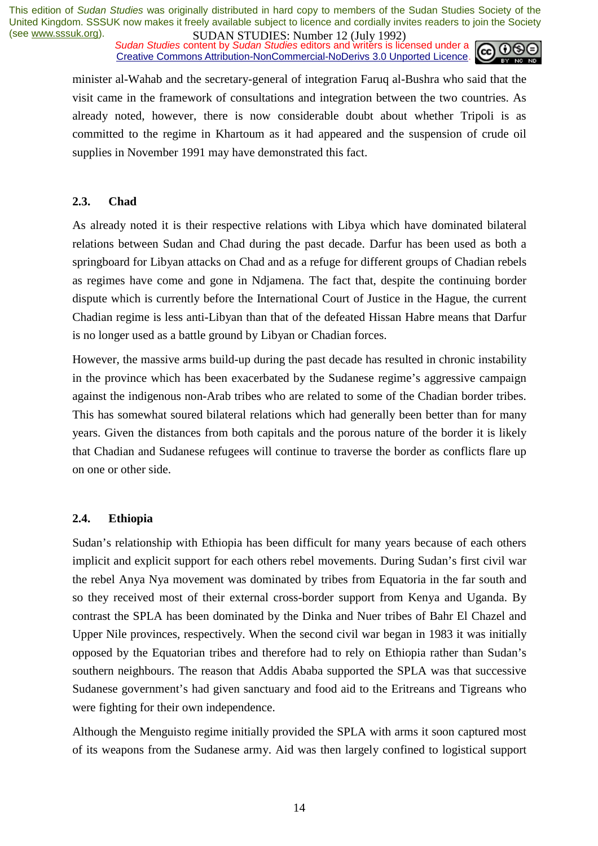*Sudan Studies* content by *Sudan Studies* editors and writers is licensed under a Creative Commons Attribution-NonCommercial-NoDerivs 3.0 Unported Licence.



minister al-Wahab and the secretary-general of integration Faruq al-Bushra who said that the visit came in the framework of consultations and integration between the two countries. As already noted, however, there is now considerable doubt about whether Tripoli is as committed to the regime in Khartoum as it had appeared and the suspension of crude oil supplies in November 1991 may have demonstrated this fact.

#### **2.3. Chad**

As already noted it is their respective relations with Libya which have dominated bilateral relations between Sudan and Chad during the past decade. Darfur has been used as both a springboard for Libyan attacks on Chad and as a refuge for different groups of Chadian rebels as regimes have come and gone in Ndjamena. The fact that, despite the continuing border dispute which is currently before the International Court of Justice in the Hague, the current Chadian regime is less anti-Libyan than that of the defeated Hissan Habre means that Darfur is no longer used as a battle ground by Libyan or Chadian forces.

However, the massive arms build-up during the past decade has resulted in chronic instability in the province which has been exacerbated by the Sudanese regime's aggressive campaign against the indigenous non-Arab tribes who are related to some of the Chadian border tribes. This has somewhat soured bilateral relations which had generally been better than for many years. Given the distances from both capitals and the porous nature of the border it is likely that Chadian and Sudanese refugees will continue to traverse the border as conflicts flare up on one or other side.

#### **2.4. Ethiopia**

Sudan's relationship with Ethiopia has been difficult for many years because of each others implicit and explicit support for each others rebel movements. During Sudan's first civil war the rebel Anya Nya movement was dominated by tribes from Equatoria in the far south and so they received most of their external cross-border support from Kenya and Uganda. By contrast the SPLA has been dominated by the Dinka and Nuer tribes of Bahr El Chazel and Upper Nile provinces, respectively. When the second civil war began in 1983 it was initially opposed by the Equatorian tribes and therefore had to rely on Ethiopia rather than Sudan's southern neighbours. The reason that Addis Ababa supported the SPLA was that successive Sudanese government's had given sanctuary and food aid to the Eritreans and Tigreans who were fighting for their own independence.

Although the Menguisto regime initially provided the SPLA with arms it soon captured most of its weapons from the Sudanese army. Aid was then largely confined to logistical support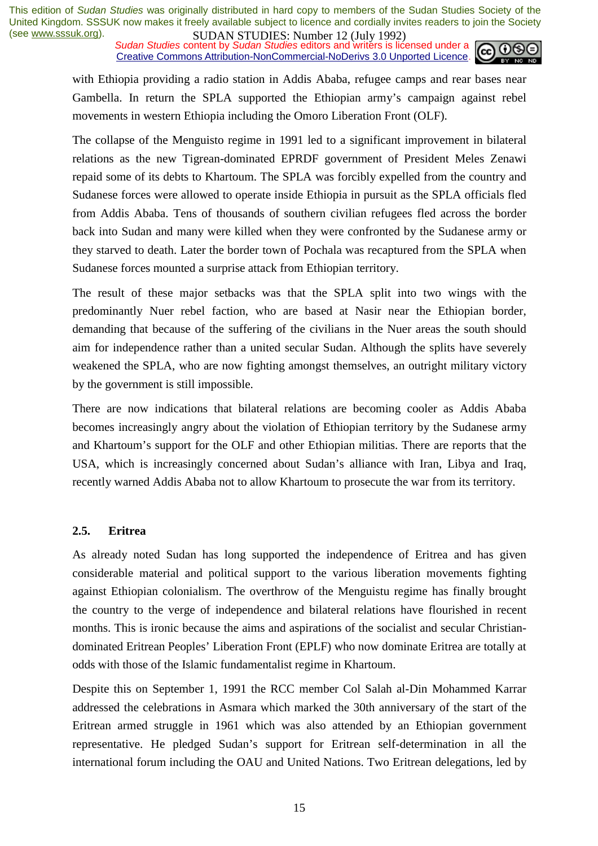**SUDAN STUDIES**: **NUTEL 12** (July 1772)<br>Sudan Studies content by Sudan Studies editors and writers is licensed under a Creative Commons Attribution-NonCommercial-NoDerivs 3.0 Unported Licence.



with Ethiopia providing a radio station in Addis Ababa, refugee camps and rear bases near Gambella. In return the SPLA supported the Ethiopian army's campaign against rebel movements in western Ethiopia including the Omoro Liberation Front (OLF).

The collapse of the Menguisto regime in 1991 led to a significant improvement in bilateral relations as the new Tigrean-dominated EPRDF government of President Meles Zenawi repaid some of its debts to Khartoum. The SPLA was forcibly expelled from the country and Sudanese forces were allowed to operate inside Ethiopia in pursuit as the SPLA officials fled from Addis Ababa. Tens of thousands of southern civilian refugees fled across the border back into Sudan and many were killed when they were confronted by the Sudanese army or they starved to death. Later the border town of Pochala was recaptured from the SPLA when Sudanese forces mounted a surprise attack from Ethiopian territory.

The result of these major setbacks was that the SPLA split into two wings with the predominantly Nuer rebel faction, who are based at Nasir near the Ethiopian border, demanding that because of the suffering of the civilians in the Nuer areas the south should aim for independence rather than a united secular Sudan. Although the splits have severely weakened the SPLA, who are now fighting amongst themselves, an outright military victory by the government is still impossible.

There are now indications that bilateral relations are becoming cooler as Addis Ababa becomes increasingly angry about the violation of Ethiopian territory by the Sudanese army and Khartoum's support for the OLF and other Ethiopian militias. There are reports that the USA, which is increasingly concerned about Sudan's alliance with Iran, Libya and Iraq, recently warned Addis Ababa not to allow Khartoum to prosecute the war from its territory.

#### **2.5. Eritrea**

As already noted Sudan has long supported the independence of Eritrea and has given considerable material and political support to the various liberation movements fighting against Ethiopian colonialism. The overthrow of the Menguistu regime has finally brought the country to the verge of independence and bilateral relations have flourished in recent months. This is ironic because the aims and aspirations of the socialist and secular Christiandominated Eritrean Peoples' Liberation Front (EPLF) who now dominate Eritrea are totally at odds with those of the Islamic fundamentalist regime in Khartoum.

Despite this on September 1, 1991 the RCC member Col Salah al-Din Mohammed Karrar addressed the celebrations in Asmara which marked the 30th anniversary of the start of the Eritrean armed struggle in 1961 which was also attended by an Ethiopian government representative. He pledged Sudan's support for Eritrean self-determination in all the international forum including the OAU and United Nations. Two Eritrean delegations, led by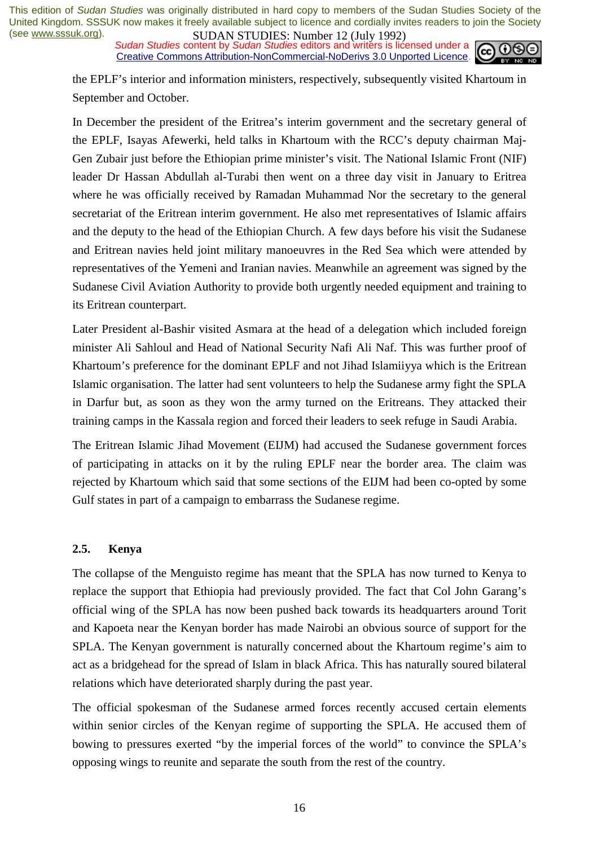**SUDAN STUDIES**. NUTTED 12 (July 1772)<br>Sudan Studies content by Sudan Studies editors and writers is licensed under a Creative Commons Attribution-NonCommercial-NoDerivs 3.0 Unported Licence.



the EPLF's interior and information ministers, respectively, subsequently visited Khartoum in September and October.

In December the president of the Eritrea's interim government and the secretary general of the EPLF, Isayas Afewerki, held talks in Khartoum with the RCC's deputy chairman Maj-Gen Zubair just before the Ethiopian prime minister's visit. The National Islamic Front (NIF) leader Dr Hassan Abdullah al-Turabi then went on a three day visit in January to Eritrea where he was officially received by Ramadan Muhammad Nor the secretary to the general secretariat of the Eritrean interim government. He also met representatives of Islamic affairs and the deputy to the head of the Ethiopian Church. A few days before his visit the Sudanese and Eritrean navies held joint military manoeuvres in the Red Sea which were attended by representatives of the Yemeni and Iranian navies. Meanwhile an agreement was signed by the Sudanese Civil Aviation Authority to provide both urgently needed equipment and training to its Eritrean counterpart.

Later President al-Bashir visited Asmara at the head of a delegation which included foreign minister Ali Sahloul and Head of National Security Nafi Ali Naf. This was further proof of Khartoum's preference for the dominant EPLF and not Jihad Islamiiyya which is the Eritrean Islamic organisation. The latter had sent volunteers to help the Sudanese army fight the SPLA in Darfur but, as soon as they won the army turned on the Eritreans. They attacked their training camps in the Kassala region and forced their leaders to seek refuge in Saudi Arabia.

The Eritrean Islamic Jihad Movement (EIJM) had accused the Sudanese government forces of participating in attacks on it by the ruling EPLF near the border area. The claim was rejected by Khartoum which said that some sections of the EIJM had been co-opted by some Gulf states in part of a campaign to embarrass the Sudanese regime.

#### **2.5. Kenya**

The collapse of the Menguisto regime has meant that the SPLA has now turned to Kenya to replace the support that Ethiopia had previously provided. The fact that Col John Garang's official wing of the SPLA has now been pushed back towards its headquarters around Torit and Kapoeta near the Kenyan border has made Nairobi an obvious source of support for the SPLA. The Kenyan government is naturally concerned about the Khartoum regime's aim to act as a bridgehead for the spread of Islam in black Africa. This has naturally soured bilateral relations which have deteriorated sharply during the past year.

The official spokesman of the Sudanese armed forces recently accused certain elements within senior circles of the Kenyan regime of supporting the SPLA. He accused them of bowing to pressures exerted "by the imperial forces of the world" to convince the SPLA's opposing wings to reunite and separate the south from the rest of the country.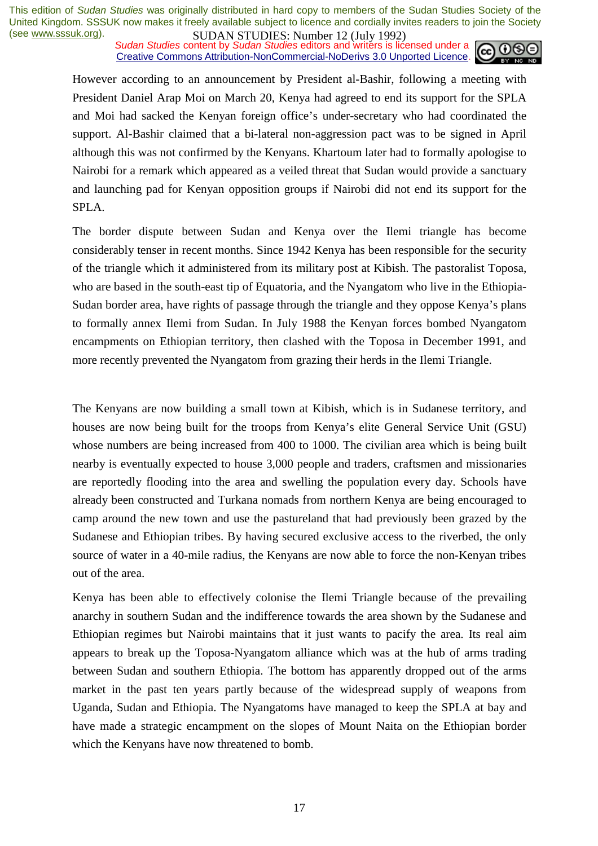**SUDAN STUDIES:** Number 12 (July 1772)<br>Sudan Studies content by *Sudan Studies* editors and writers is licensed under a **co.** 00 Creative Commons Attribution-NonCommercial-NoDerivs 3.0 Unported Licence.



However according to an announcement by President al-Bashir, following a meeting with President Daniel Arap Moi on March 20, Kenya had agreed to end its support for the SPLA and Moi had sacked the Kenyan foreign office's under-secretary who had coordinated the support. Al-Bashir claimed that a bi-lateral non-aggression pact was to be signed in April although this was not confirmed by the Kenyans. Khartoum later had to formally apologise to Nairobi for a remark which appeared as a veiled threat that Sudan would provide a sanctuary and launching pad for Kenyan opposition groups if Nairobi did not end its support for the SPLA.

The border dispute between Sudan and Kenya over the Ilemi triangle has become considerably tenser in recent months. Since 1942 Kenya has been responsible for the security of the triangle which it administered from its military post at Kibish. The pastoralist Toposa, who are based in the south-east tip of Equatoria, and the Nyangatom who live in the Ethiopia-Sudan border area, have rights of passage through the triangle and they oppose Kenya's plans to formally annex Ilemi from Sudan. In July 1988 the Kenyan forces bombed Nyangatom encampments on Ethiopian territory, then clashed with the Toposa in December 1991, and more recently prevented the Nyangatom from grazing their herds in the Ilemi Triangle.

The Kenyans are now building a small town at Kibish, which is in Sudanese territory, and houses are now being built for the troops from Kenya's elite General Service Unit (GSU) whose numbers are being increased from 400 to 1000. The civilian area which is being built nearby is eventually expected to house 3,000 people and traders, craftsmen and missionaries are reportedly flooding into the area and swelling the population every day. Schools have already been constructed and Turkana nomads from northern Kenya are being encouraged to camp around the new town and use the pastureland that had previously been grazed by the Sudanese and Ethiopian tribes. By having secured exclusive access to the riverbed, the only source of water in a 40-mile radius, the Kenyans are now able to force the non-Kenyan tribes out of the area.

Kenya has been able to effectively colonise the Ilemi Triangle because of the prevailing anarchy in southern Sudan and the indifference towards the area shown by the Sudanese and Ethiopian regimes but Nairobi maintains that it just wants to pacify the area. Its real aim appears to break up the Toposa-Nyangatom alliance which was at the hub of arms trading between Sudan and southern Ethiopia. The bottom has apparently dropped out of the arms market in the past ten years partly because of the widespread supply of weapons from Uganda, Sudan and Ethiopia. The Nyangatoms have managed to keep the SPLA at bay and have made a strategic encampment on the slopes of Mount Naita on the Ethiopian border which the Kenyans have now threatened to bomb.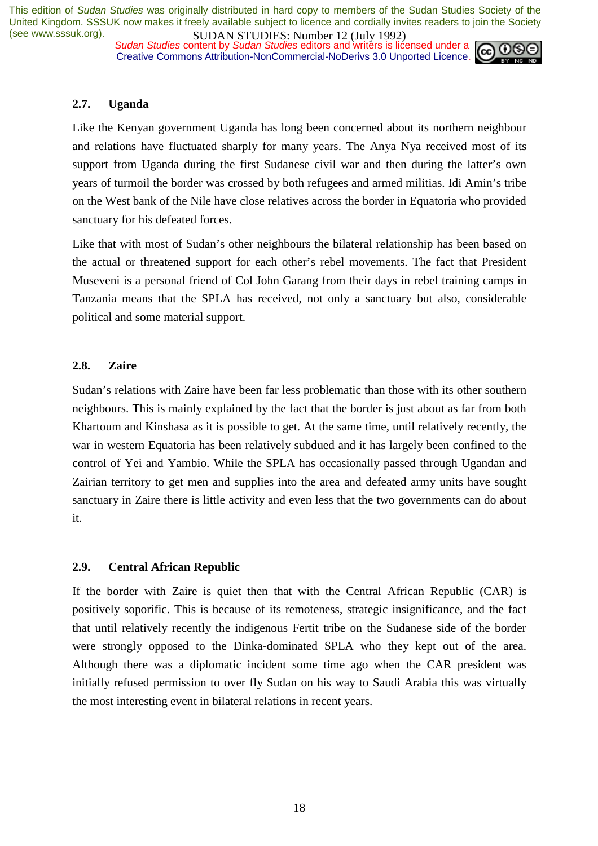*Sudan Studies* content by *Sudan Studies* editors and writers is licensed under a Creative Commons Attribution-NonCommercial-NoDerivs 3.0 Unported Licence.



#### **2.7. Uganda**

Like the Kenyan government Uganda has long been concerned about its northern neighbour and relations have fluctuated sharply for many years. The Anya Nya received most of its support from Uganda during the first Sudanese civil war and then during the latter's own years of turmoil the border was crossed by both refugees and armed militias. Idi Amin's tribe on the West bank of the Nile have close relatives across the border in Equatoria who provided sanctuary for his defeated forces.

Like that with most of Sudan's other neighbours the bilateral relationship has been based on the actual or threatened support for each other's rebel movements. The fact that President Museveni is a personal friend of Col John Garang from their days in rebel training camps in Tanzania means that the SPLA has received, not only a sanctuary but also, considerable political and some material support.

#### **2.8. Zaire**

Sudan's relations with Zaire have been far less problematic than those with its other southern neighbours. This is mainly explained by the fact that the border is just about as far from both Khartoum and Kinshasa as it is possible to get. At the same time, until relatively recently, the war in western Equatoria has been relatively subdued and it has largely been confined to the control of Yei and Yambio. While the SPLA has occasionally passed through Ugandan and Zairian territory to get men and supplies into the area and defeated army units have sought sanctuary in Zaire there is little activity and even less that the two governments can do about it.

#### **2.9. Central African Republic**

If the border with Zaire is quiet then that with the Central African Republic (CAR) is positively soporific. This is because of its remoteness, strategic insignificance, and the fact that until relatively recently the indigenous Fertit tribe on the Sudanese side of the border were strongly opposed to the Dinka-dominated SPLA who they kept out of the area. Although there was a diplomatic incident some time ago when the CAR president was initially refused permission to over fly Sudan on his way to Saudi Arabia this was virtually the most interesting event in bilateral relations in recent years.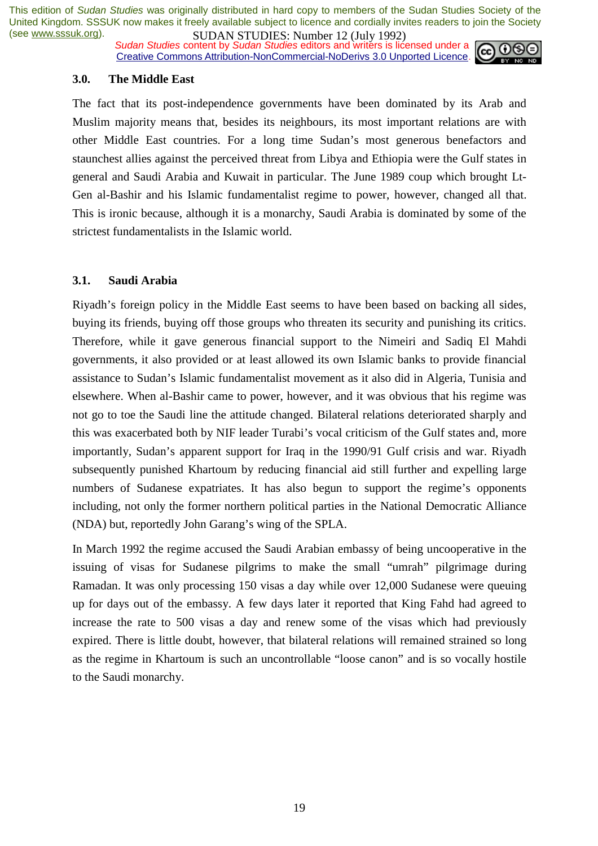*Sudan Studies* content by *Sudan Studies* editors and writers is licensed under a Creative Commons Attribution-NonCommercial-NoDerivs 3.0 Unported Licence.



#### **3.0. The Middle East**

The fact that its post-independence governments have been dominated by its Arab and Muslim majority means that, besides its neighbours, its most important relations are with other Middle East countries. For a long time Sudan's most generous benefactors and staunchest allies against the perceived threat from Libya and Ethiopia were the Gulf states in general and Saudi Arabia and Kuwait in particular. The June 1989 coup which brought Lt-Gen al-Bashir and his Islamic fundamentalist regime to power, however, changed all that. This is ironic because, although it is a monarchy, Saudi Arabia is dominated by some of the strictest fundamentalists in the Islamic world.

#### **3.1. Saudi Arabia**

Riyadh's foreign policy in the Middle East seems to have been based on backing all sides, buying its friends, buying off those groups who threaten its security and punishing its critics. Therefore, while it gave generous financial support to the Nimeiri and Sadiq El Mahdi governments, it also provided or at least allowed its own Islamic banks to provide financial assistance to Sudan's Islamic fundamentalist movement as it also did in Algeria, Tunisia and elsewhere. When al-Bashir came to power, however, and it was obvious that his regime was not go to toe the Saudi line the attitude changed. Bilateral relations deteriorated sharply and this was exacerbated both by NIF leader Turabi's vocal criticism of the Gulf states and, more importantly, Sudan's apparent support for Iraq in the 1990/91 Gulf crisis and war. Riyadh subsequently punished Khartoum by reducing financial aid still further and expelling large numbers of Sudanese expatriates. It has also begun to support the regime's opponents including, not only the former northern political parties in the National Democratic Alliance (NDA) but, reportedly John Garang's wing of the SPLA.

In March 1992 the regime accused the Saudi Arabian embassy of being uncooperative in the issuing of visas for Sudanese pilgrims to make the small "umrah" pilgrimage during Ramadan. It was only processing 150 visas a day while over 12,000 Sudanese were queuing up for days out of the embassy. A few days later it reported that King Fahd had agreed to increase the rate to 500 visas a day and renew some of the visas which had previously expired. There is little doubt, however, that bilateral relations will remained strained so long as the regime in Khartoum is such an uncontrollable "loose canon" and is so vocally hostile to the Saudi monarchy.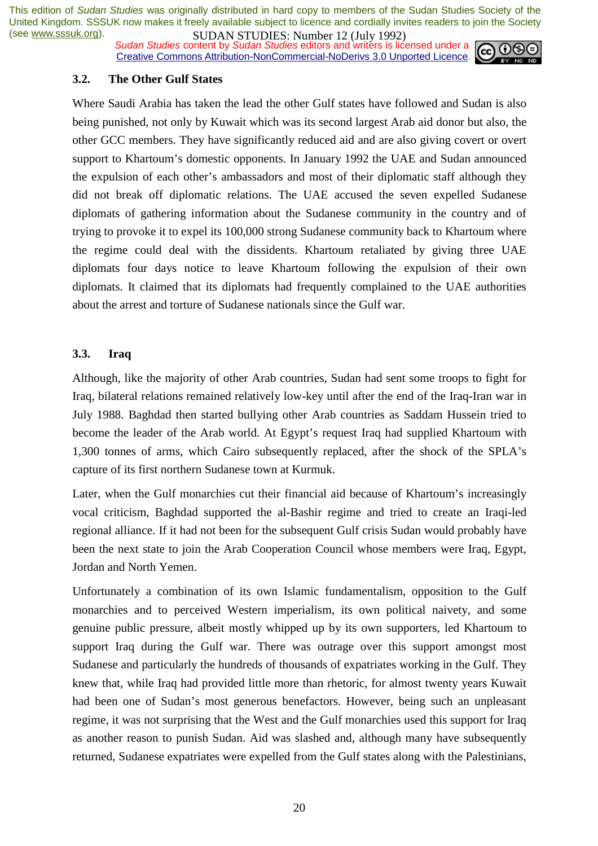**SUDAN STUDIES:** Number 12 (July 1772)<br>Sudan Studies content by *Sudan Studies* editors and writers is licensed under a Creative Commons Attribution-NonCommercial-NoDerivs 3.0 Unported Licence.



#### **3.2. The Other Gulf States**

Where Saudi Arabia has taken the lead the other Gulf states have followed and Sudan is also being punished, not only by Kuwait which was its second largest Arab aid donor but also, the other GCC members. They have significantly reduced aid and are also giving covert or overt support to Khartoum's domestic opponents. In January 1992 the UAE and Sudan announced the expulsion of each other's ambassadors and most of their diplomatic staff although they did not break off diplomatic relations. The UAE accused the seven expelled Sudanese diplomats of gathering information about the Sudanese community in the country and of trying to provoke it to expel its 100,000 strong Sudanese community back to Khartoum where the regime could deal with the dissidents. Khartoum retaliated by giving three UAE diplomats four days notice to leave Khartoum following the expulsion of their own diplomats. It claimed that its diplomats had frequently complained to the UAE authorities about the arrest and torture of Sudanese nationals since the Gulf war.

#### **3.3. Iraq**

Although, like the majority of other Arab countries, Sudan had sent some troops to fight for Iraq, bilateral relations remained relatively low-key until after the end of the Iraq-Iran war in July 1988. Baghdad then started bullying other Arab countries as Saddam Hussein tried to become the leader of the Arab world. At Egypt's request Iraq had supplied Khartoum with 1,300 tonnes of arms, which Cairo subsequently replaced, after the shock of the SPLA's capture of its first northern Sudanese town at Kurmuk.

Later, when the Gulf monarchies cut their financial aid because of Khartoum's increasingly vocal criticism, Baghdad supported the al-Bashir regime and tried to create an Iraqi-led regional alliance. If it had not been for the subsequent Gulf crisis Sudan would probably have been the next state to join the Arab Cooperation Council whose members were Iraq, Egypt, Jordan and North Yemen.

Unfortunately a combination of its own Islamic fundamentalism, opposition to the Gulf monarchies and to perceived Western imperialism, its own political naivety, and some genuine public pressure, albeit mostly whipped up by its own supporters, led Khartoum to support Iraq during the Gulf war. There was outrage over this support amongst most Sudanese and particularly the hundreds of thousands of expatriates working in the Gulf. They knew that, while Iraq had provided little more than rhetoric, for almost twenty years Kuwait had been one of Sudan's most generous benefactors. However, being such an unpleasant regime, it was not surprising that the West and the Gulf monarchies used this support for Iraq as another reason to punish Sudan. Aid was slashed and, although many have subsequently returned, Sudanese expatriates were expelled from the Gulf states along with the Palestinians,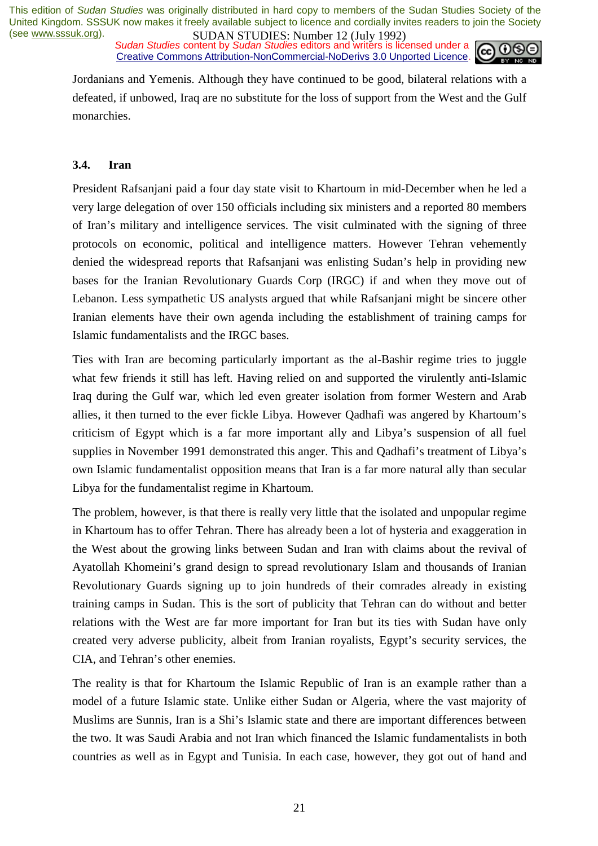**SUDAN STUDIES:** NUTTER 12 (July 1772)<br>Sudan Studies content by Sudan Studies editors and writers is licensed under a Creative Commons Attribution-NonCommercial-NoDerivs 3.0 Unported Licence.



Jordanians and Yemenis. Although they have continued to be good, bilateral relations with a defeated, if unbowed, Iraq are no substitute for the loss of support from the West and the Gulf monarchies.

#### **3.4. Iran**

President Rafsanjani paid a four day state visit to Khartoum in mid-December when he led a very large delegation of over 150 officials including six ministers and a reported 80 members of Iran's military and intelligence services. The visit culminated with the signing of three protocols on economic, political and intelligence matters. However Tehran vehemently denied the widespread reports that Rafsanjani was enlisting Sudan's help in providing new bases for the Iranian Revolutionary Guards Corp (IRGC) if and when they move out of Lebanon. Less sympathetic US analysts argued that while Rafsanjani might be sincere other Iranian elements have their own agenda including the establishment of training camps for Islamic fundamentalists and the IRGC bases.

Ties with Iran are becoming particularly important as the al-Bashir regime tries to juggle what few friends it still has left. Having relied on and supported the virulently anti-Islamic Iraq during the Gulf war, which led even greater isolation from former Western and Arab allies, it then turned to the ever fickle Libya. However Qadhafi was angered by Khartoum's criticism of Egypt which is a far more important ally and Libya's suspension of all fuel supplies in November 1991 demonstrated this anger. This and Qadhafi's treatment of Libya's own Islamic fundamentalist opposition means that Iran is a far more natural ally than secular Libya for the fundamentalist regime in Khartoum.

The problem, however, is that there is really very little that the isolated and unpopular regime in Khartoum has to offer Tehran. There has already been a lot of hysteria and exaggeration in the West about the growing links between Sudan and Iran with claims about the revival of Ayatollah Khomeini's grand design to spread revolutionary Islam and thousands of Iranian Revolutionary Guards signing up to join hundreds of their comrades already in existing training camps in Sudan. This is the sort of publicity that Tehran can do without and better relations with the West are far more important for Iran but its ties with Sudan have only created very adverse publicity, albeit from Iranian royalists, Egypt's security services, the CIA, and Tehran's other enemies.

The reality is that for Khartoum the Islamic Republic of Iran is an example rather than a model of a future Islamic state. Unlike either Sudan or Algeria, where the vast majority of Muslims are Sunnis, Iran is a Shi's Islamic state and there are important differences between the two. It was Saudi Arabia and not Iran which financed the Islamic fundamentalists in both countries as well as in Egypt and Tunisia. In each case, however, they got out of hand and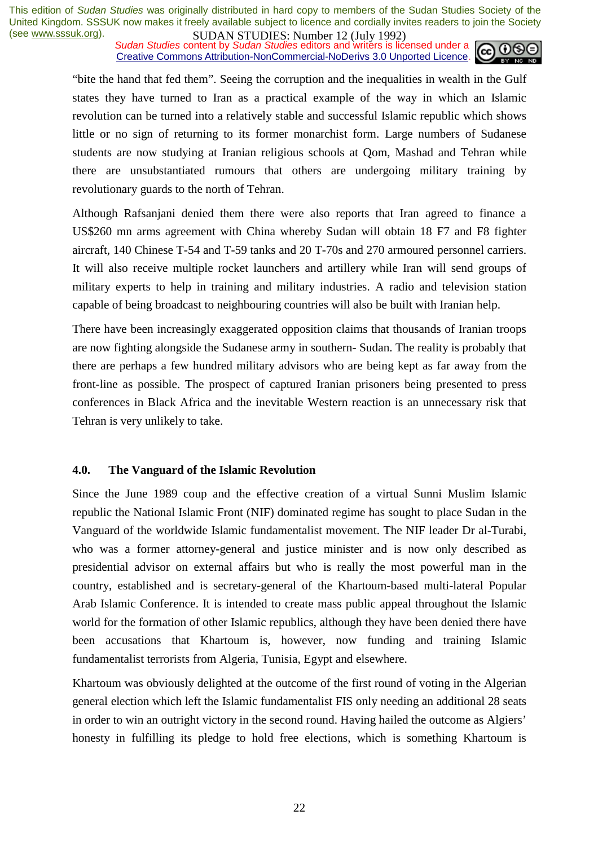**SUDAN STUDIES:** Number 12 (July 1772)<br>Sudan Studies content by Sudan Studies editors and writers is licensed under a Creative Commons Attribution-NonCommercial-NoDerivs 3.0 Unported Licence.



"bite the hand that fed them". Seeing the corruption and the inequalities in wealth in the Gulf states they have turned to Iran as a practical example of the way in which an Islamic revolution can be turned into a relatively stable and successful Islamic republic which shows little or no sign of returning to its former monarchist form. Large numbers of Sudanese students are now studying at Iranian religious schools at Qom, Mashad and Tehran while there are unsubstantiated rumours that others are undergoing military training by revolutionary guards to the north of Tehran.

Although Rafsanjani denied them there were also reports that Iran agreed to finance a US\$260 mn arms agreement with China whereby Sudan will obtain 18 F7 and F8 fighter aircraft, 140 Chinese T-54 and T-59 tanks and 20 T-70s and 270 armoured personnel carriers. It will also receive multiple rocket launchers and artillery while Iran will send groups of military experts to help in training and military industries. A radio and television station capable of being broadcast to neighbouring countries will also be built with Iranian help.

There have been increasingly exaggerated opposition claims that thousands of Iranian troops are now fighting alongside the Sudanese army in southern- Sudan. The reality is probably that there are perhaps a few hundred military advisors who are being kept as far away from the front-line as possible. The prospect of captured Iranian prisoners being presented to press conferences in Black Africa and the inevitable Western reaction is an unnecessary risk that Tehran is very unlikely to take.

#### **4.0. The Vanguard of the Islamic Revolution**

Since the June 1989 coup and the effective creation of a virtual Sunni Muslim Islamic republic the National Islamic Front (NIF) dominated regime has sought to place Sudan in the Vanguard of the worldwide Islamic fundamentalist movement. The NIF leader Dr al-Turabi, who was a former attorney-general and justice minister and is now only described as presidential advisor on external affairs but who is really the most powerful man in the country, established and is secretary-general of the Khartoum-based multi-lateral Popular Arab Islamic Conference. It is intended to create mass public appeal throughout the Islamic world for the formation of other Islamic republics, although they have been denied there have been accusations that Khartoum is, however, now funding and training Islamic fundamentalist terrorists from Algeria, Tunisia, Egypt and elsewhere.

Khartoum was obviously delighted at the outcome of the first round of voting in the Algerian general election which left the Islamic fundamentalist FIS only needing an additional 28 seats in order to win an outright victory in the second round. Having hailed the outcome as Algiers' honesty in fulfilling its pledge to hold free elections, which is something Khartoum is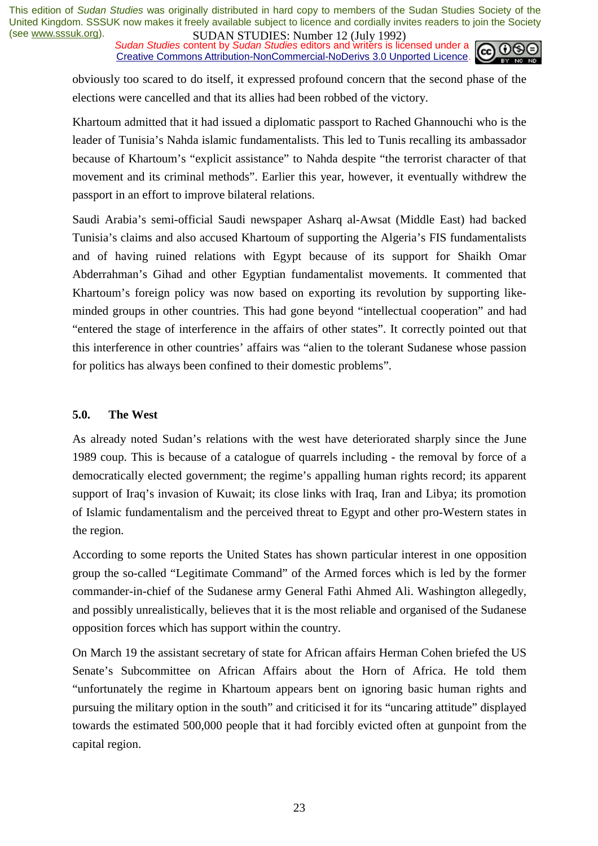*Sudan Studies* content by *Sudan Studies* editors and writers is licensed under a Creative Commons Attribution-NonCommercial-NoDerivs 3.0 Unported Licence.



obviously too scared to do itself, it expressed profound concern that the second phase of the elections were cancelled and that its allies had been robbed of the victory.

Khartoum admitted that it had issued a diplomatic passport to Rached Ghannouchi who is the leader of Tunisia's Nahda islamic fundamentalists. This led to Tunis recalling its ambassador because of Khartoum's "explicit assistance" to Nahda despite "the terrorist character of that movement and its criminal methods". Earlier this year, however, it eventually withdrew the passport in an effort to improve bilateral relations.

Saudi Arabia's semi-official Saudi newspaper Asharq al-Awsat (Middle East) had backed Tunisia's claims and also accused Khartoum of supporting the Algeria's FIS fundamentalists and of having ruined relations with Egypt because of its support for Shaikh Omar Abderrahman's Gihad and other Egyptian fundamentalist movements. It commented that Khartoum's foreign policy was now based on exporting its revolution by supporting likeminded groups in other countries. This had gone beyond "intellectual cooperation" and had "entered the stage of interference in the affairs of other states". It correctly pointed out that this interference in other countries' affairs was "alien to the tolerant Sudanese whose passion for politics has always been confined to their domestic problems".

#### **5.0. The West**

As already noted Sudan's relations with the west have deteriorated sharply since the June 1989 coup. This is because of a catalogue of quarrels including - the removal by force of a democratically elected government; the regime's appalling human rights record; its apparent support of Iraq's invasion of Kuwait; its close links with Iraq, Iran and Libya; its promotion of Islamic fundamentalism and the perceived threat to Egypt and other pro-Western states in the region.

According to some reports the United States has shown particular interest in one opposition group the so-called "Legitimate Command" of the Armed forces which is led by the former commander-in-chief of the Sudanese army General Fathi Ahmed Ali. Washington allegedly, and possibly unrealistically, believes that it is the most reliable and organised of the Sudanese opposition forces which has support within the country.

On March 19 the assistant secretary of state for African affairs Herman Cohen briefed the US Senate's Subcommittee on African Affairs about the Horn of Africa. He told them "unfortunately the regime in Khartoum appears bent on ignoring basic human rights and pursuing the military option in the south" and criticised it for its "uncaring attitude" displayed towards the estimated 500,000 people that it had forcibly evicted often at gunpoint from the capital region.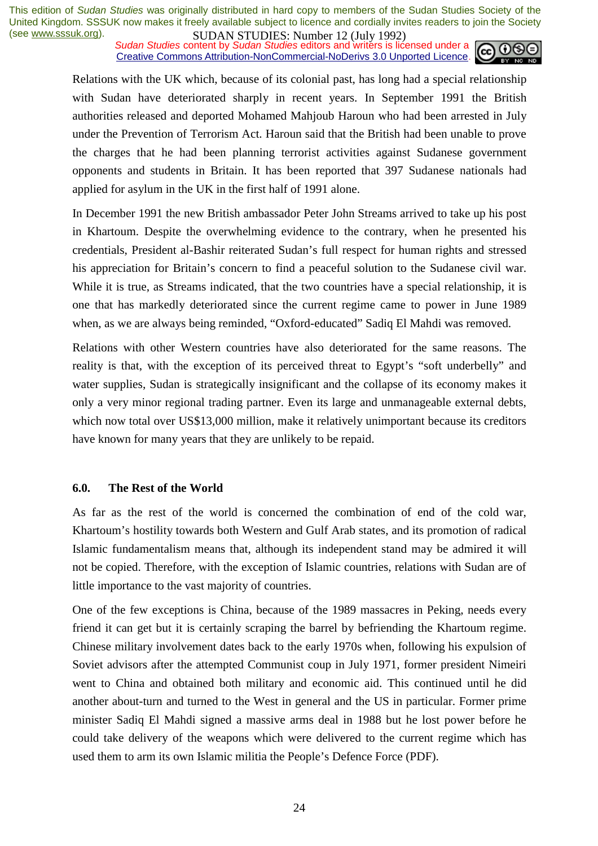**SUDAN STUDIES**: **NUTEL 12** (July 1772)<br>Sudan Studies content by Sudan Studies editors and writers is licensed under a Creative Commons Attribution-NonCommercial-NoDerivs 3.0 Unported Licence.



Relations with the UK which, because of its colonial past, has long had a special relationship with Sudan have deteriorated sharply in recent years. In September 1991 the British authorities released and deported Mohamed Mahjoub Haroun who had been arrested in July under the Prevention of Terrorism Act. Haroun said that the British had been unable to prove the charges that he had been planning terrorist activities against Sudanese government opponents and students in Britain. It has been reported that 397 Sudanese nationals had applied for asylum in the UK in the first half of 1991 alone.

In December 1991 the new British ambassador Peter John Streams arrived to take up his post in Khartoum. Despite the overwhelming evidence to the contrary, when he presented his credentials, President al-Bashir reiterated Sudan's full respect for human rights and stressed his appreciation for Britain's concern to find a peaceful solution to the Sudanese civil war. While it is true, as Streams indicated, that the two countries have a special relationship, it is one that has markedly deteriorated since the current regime came to power in June 1989 when, as we are always being reminded, "Oxford-educated" Sadiq El Mahdi was removed.

Relations with other Western countries have also deteriorated for the same reasons. The reality is that, with the exception of its perceived threat to Egypt's "soft underbelly" and water supplies, Sudan is strategically insignificant and the collapse of its economy makes it only a very minor regional trading partner. Even its large and unmanageable external debts, which now total over US\$13,000 million, make it relatively unimportant because its creditors have known for many years that they are unlikely to be repaid.

#### **6.0. The Rest of the World**

As far as the rest of the world is concerned the combination of end of the cold war, Khartoum's hostility towards both Western and Gulf Arab states, and its promotion of radical Islamic fundamentalism means that, although its independent stand may be admired it will not be copied. Therefore, with the exception of Islamic countries, relations with Sudan are of little importance to the vast majority of countries.

One of the few exceptions is China, because of the 1989 massacres in Peking, needs every friend it can get but it is certainly scraping the barrel by befriending the Khartoum regime. Chinese military involvement dates back to the early 1970s when, following his expulsion of Soviet advisors after the attempted Communist coup in July 1971, former president Nimeiri went to China and obtained both military and economic aid. This continued until he did another about-turn and turned to the West in general and the US in particular. Former prime minister Sadiq El Mahdi signed a massive arms deal in 1988 but he lost power before he could take delivery of the weapons which were delivered to the current regime which has used them to arm its own Islamic militia the People's Defence Force (PDF).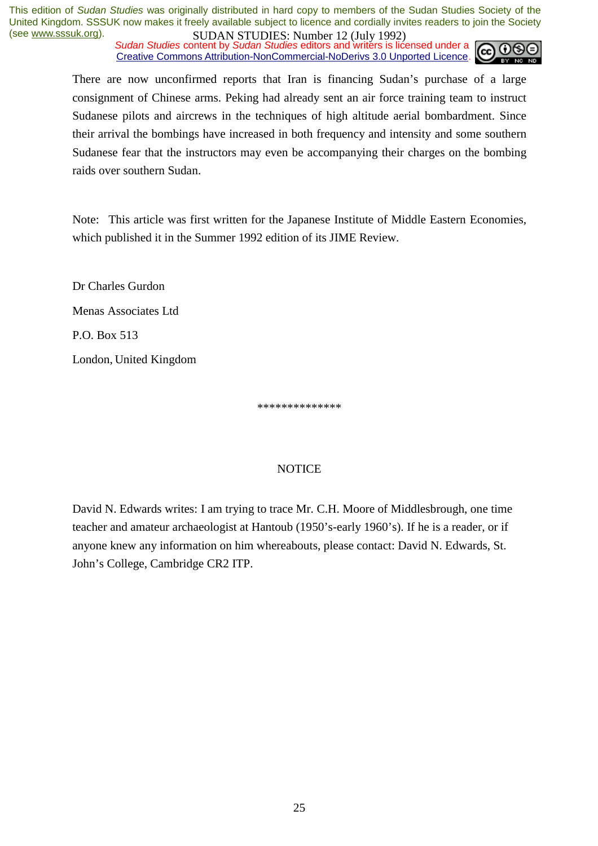**SUDAN STUDIES.** Number 12 (July 1772)<br>Sudan Studies content by Sudan Studies editors and writers is licensed under a Creative Commons Attribution-NonCommercial-NoDerivs 3.0 Unported Licence.



There are now unconfirmed reports that Iran is financing Sudan's purchase of a large consignment of Chinese arms. Peking had already sent an air force training team to instruct Sudanese pilots and aircrews in the techniques of high altitude aerial bombardment. Since their arrival the bombings have increased in both frequency and intensity and some southern Sudanese fear that the instructors may even be accompanying their charges on the bombing raids over southern Sudan.

Note: This article was first written for the Japanese Institute of Middle Eastern Economies, which published it in the Summer 1992 edition of its JIME Review.

Dr Charles Gurdon Menas Associates Ltd P.O. Box 513 London, United Kingdom

\*\*\*\*\*\*\*\*\*\*\*\*\*\*

#### **NOTICE**

David N. Edwards writes: I am trying to trace Mr. C.H. Moore of Middlesbrough, one time teacher and amateur archaeologist at Hantoub (1950's-early 1960's). If he is a reader, or if anyone knew any information on him whereabouts, please contact: David N. Edwards, St. John's College, Cambridge CR2 ITP.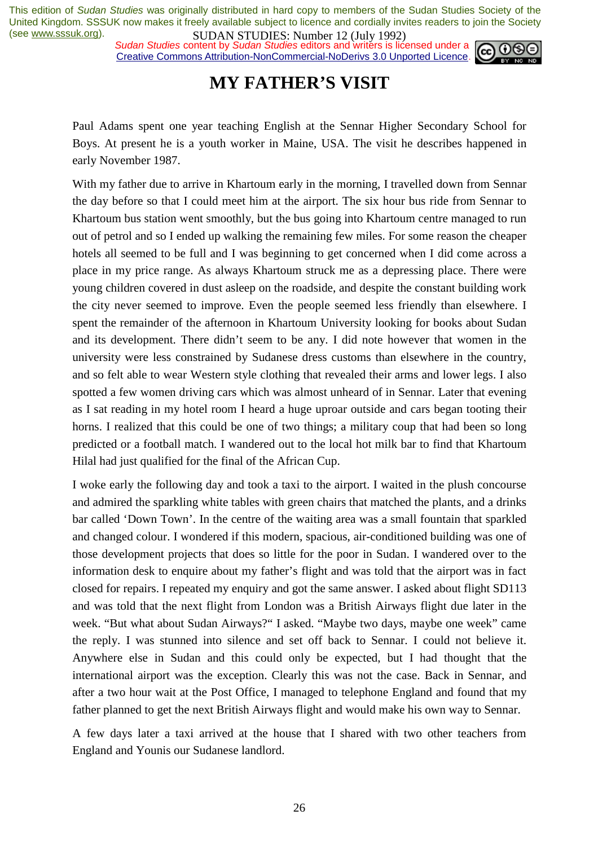*Sudan Studies* content by *Sudan Studies* editors and writers is licensed under a Creative Commons Attribution-NonCommercial-NoDerivs 3.0 Unported Licence.



### **MY FATHER'S VISIT**

Paul Adams spent one year teaching English at the Sennar Higher Secondary School for Boys. At present he is a youth worker in Maine, USA. The visit he describes happened in early November 1987.

With my father due to arrive in Khartoum early in the morning, I travelled down from Sennar the day before so that I could meet him at the airport. The six hour bus ride from Sennar to Khartoum bus station went smoothly, but the bus going into Khartoum centre managed to run out of petrol and so I ended up walking the remaining few miles. For some reason the cheaper hotels all seemed to be full and I was beginning to get concerned when I did come across a place in my price range. As always Khartoum struck me as a depressing place. There were young children covered in dust asleep on the roadside, and despite the constant building work the city never seemed to improve. Even the people seemed less friendly than elsewhere. I spent the remainder of the afternoon in Khartoum University looking for books about Sudan and its development. There didn't seem to be any. I did note however that women in the university were less constrained by Sudanese dress customs than elsewhere in the country, and so felt able to wear Western style clothing that revealed their arms and lower legs. I also spotted a few women driving cars which was almost unheard of in Sennar. Later that evening as I sat reading in my hotel room I heard a huge uproar outside and cars began tooting their horns. I realized that this could be one of two things; a military coup that had been so long predicted or a football match. I wandered out to the local hot milk bar to find that Khartoum Hilal had just qualified for the final of the African Cup.

I woke early the following day and took a taxi to the airport. I waited in the plush concourse and admired the sparkling white tables with green chairs that matched the plants, and a drinks bar called 'Down Town'. In the centre of the waiting area was a small fountain that sparkled and changed colour. I wondered if this modern, spacious, air-conditioned building was one of those development projects that does so little for the poor in Sudan. I wandered over to the information desk to enquire about my father's flight and was told that the airport was in fact closed for repairs. I repeated my enquiry and got the same answer. I asked about flight SD113 and was told that the next flight from London was a British Airways flight due later in the week. "But what about Sudan Airways?" I asked. "Maybe two days, maybe one week" came the reply. I was stunned into silence and set off back to Sennar. I could not believe it. Anywhere else in Sudan and this could only be expected, but I had thought that the international airport was the exception. Clearly this was not the case. Back in Sennar, and after a two hour wait at the Post Office, I managed to telephone England and found that my father planned to get the next British Airways flight and would make his own way to Sennar.

A few days later a taxi arrived at the house that I shared with two other teachers from England and Younis our Sudanese landlord.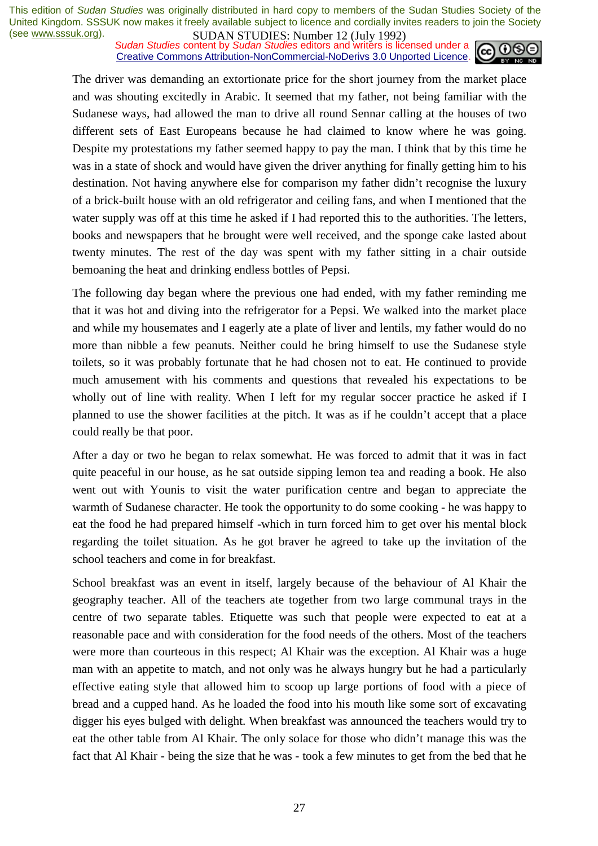**SUDAN STUDIES:** NUTTER 12 (July 1772)<br>Sudan Studies content by Sudan Studies editors and writers is licensed under a Creative Commons Attribution-NonCommercial-NoDerivs 3.0 Unported Licence.



The driver was demanding an extortionate price for the short journey from the market place and was shouting excitedly in Arabic. It seemed that my father, not being familiar with the Sudanese ways, had allowed the man to drive all round Sennar calling at the houses of two different sets of East Europeans because he had claimed to know where he was going. Despite my protestations my father seemed happy to pay the man. I think that by this time he was in a state of shock and would have given the driver anything for finally getting him to his destination. Not having anywhere else for comparison my father didn't recognise the luxury of a brick-built house with an old refrigerator and ceiling fans, and when I mentioned that the water supply was off at this time he asked if I had reported this to the authorities. The letters, books and newspapers that he brought were well received, and the sponge cake lasted about twenty minutes. The rest of the day was spent with my father sitting in a chair outside bemoaning the heat and drinking endless bottles of Pepsi.

The following day began where the previous one had ended, with my father reminding me that it was hot and diving into the refrigerator for a Pepsi. We walked into the market place and while my housemates and I eagerly ate a plate of liver and lentils, my father would do no more than nibble a few peanuts. Neither could he bring himself to use the Sudanese style toilets, so it was probably fortunate that he had chosen not to eat. He continued to provide much amusement with his comments and questions that revealed his expectations to be wholly out of line with reality. When I left for my regular soccer practice he asked if I planned to use the shower facilities at the pitch. It was as if he couldn't accept that a place could really be that poor.

After a day or two he began to relax somewhat. He was forced to admit that it was in fact quite peaceful in our house, as he sat outside sipping lemon tea and reading a book. He also went out with Younis to visit the water purification centre and began to appreciate the warmth of Sudanese character. He took the opportunity to do some cooking - he was happy to eat the food he had prepared himself -which in turn forced him to get over his mental block regarding the toilet situation. As he got braver he agreed to take up the invitation of the school teachers and come in for breakfast.

School breakfast was an event in itself, largely because of the behaviour of Al Khair the geography teacher. All of the teachers ate together from two large communal trays in the centre of two separate tables. Etiquette was such that people were expected to eat at a reasonable pace and with consideration for the food needs of the others. Most of the teachers were more than courteous in this respect; Al Khair was the exception. Al Khair was a huge man with an appetite to match, and not only was he always hungry but he had a particularly effective eating style that allowed him to scoop up large portions of food with a piece of bread and a cupped hand. As he loaded the food into his mouth like some sort of excavating digger his eyes bulged with delight. When breakfast was announced the teachers would try to eat the other table from Al Khair. The only solace for those who didn't manage this was the fact that Al Khair - being the size that he was - took a few minutes to get from the bed that he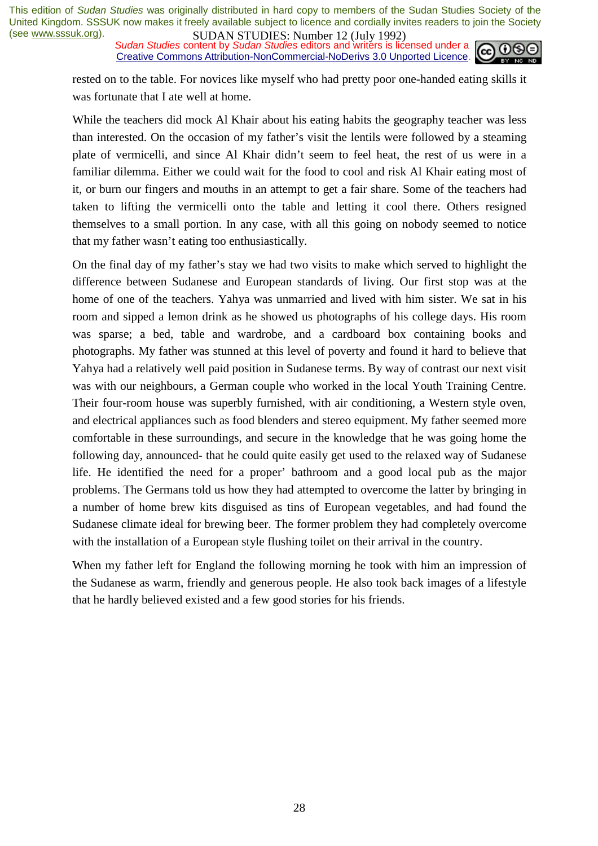**SUDAN STUDIES:** Number 12 (July 1772)<br>Sudan Studies content by *Sudan Studies* editors and writers is licensed under a Creative Commons Attribution-NonCommercial-NoDerivs 3.0 Unported Licence.



rested on to the table. For novices like myself who had pretty poor one-handed eating skills it was fortunate that I ate well at home.

While the teachers did mock Al Khair about his eating habits the geography teacher was less than interested. On the occasion of my father's visit the lentils were followed by a steaming plate of vermicelli, and since Al Khair didn't seem to feel heat, the rest of us were in a familiar dilemma. Either we could wait for the food to cool and risk Al Khair eating most of it, or burn our fingers and mouths in an attempt to get a fair share. Some of the teachers had taken to lifting the vermicelli onto the table and letting it cool there. Others resigned themselves to a small portion. In any case, with all this going on nobody seemed to notice that my father wasn't eating too enthusiastically.

On the final day of my father's stay we had two visits to make which served to highlight the difference between Sudanese and European standards of living. Our first stop was at the home of one of the teachers. Yahya was unmarried and lived with him sister. We sat in his room and sipped a lemon drink as he showed us photographs of his college days. His room was sparse; a bed, table and wardrobe, and a cardboard box containing books and photographs. My father was stunned at this level of poverty and found it hard to believe that Yahya had a relatively well paid position in Sudanese terms. By way of contrast our next visit was with our neighbours, a German couple who worked in the local Youth Training Centre. Their four-room house was superbly furnished, with air conditioning, a Western style oven, and electrical appliances such as food blenders and stereo equipment. My father seemed more comfortable in these surroundings, and secure in the knowledge that he was going home the following day, announced- that he could quite easily get used to the relaxed way of Sudanese life. He identified the need for a proper' bathroom and a good local pub as the major problems. The Germans told us how they had attempted to overcome the latter by bringing in a number of home brew kits disguised as tins of European vegetables, and had found the Sudanese climate ideal for brewing beer. The former problem they had completely overcome with the installation of a European style flushing toilet on their arrival in the country.

When my father left for England the following morning he took with him an impression of the Sudanese as warm, friendly and generous people. He also took back images of a lifestyle that he hardly believed existed and a few good stories for his friends.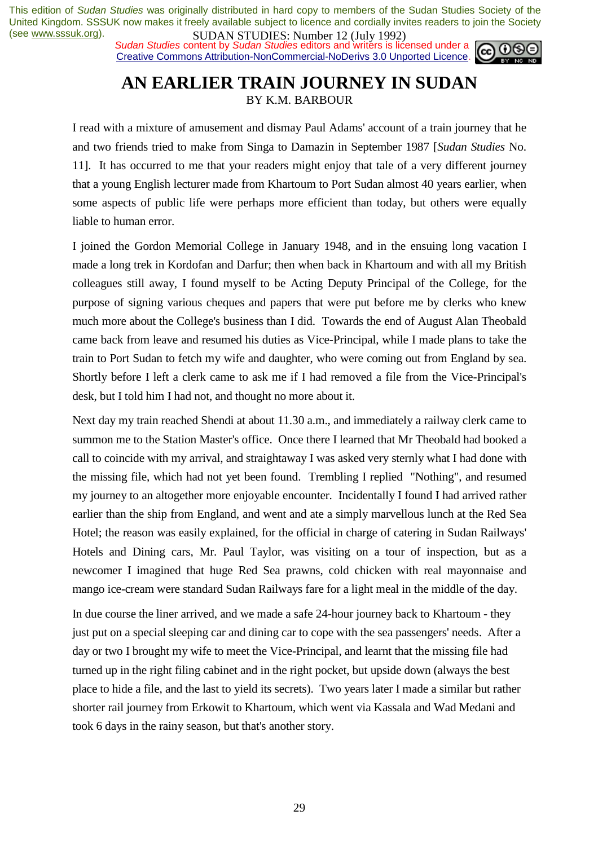**SUDAN STUDIES:** NUTTER 12 (July 1772)<br>Sudan Studies content by Sudan Studies editors and writers is licensed under a Creative Commons Attribution-NonCommercial-NoDerivs 3.0 Unported Licence.



## **AN EARLIER TRAIN JOURNEY IN SUDAN**

BY K.M. BARBOUR

I read with a mixture of amusement and dismay Paul Adams' account of a train journey that he and two friends tried to make from Singa to Damazin in September 1987 [*Sudan Studies* No. 11]. It has occurred to me that your readers might enjoy that tale of a very different journey that a young English lecturer made from Khartoum to Port Sudan almost 40 years earlier, when some aspects of public life were perhaps more efficient than today, but others were equally liable to human error.

I joined the Gordon Memorial College in January 1948, and in the ensuing long vacation I made a long trek in Kordofan and Darfur; then when back in Khartoum and with all my British colleagues still away, I found myself to be Acting Deputy Principal of the College, for the purpose of signing various cheques and papers that were put before me by clerks who knew much more about the College's business than I did. Towards the end of August Alan Theobald came back from leave and resumed his duties as Vice-Principal, while I made plans to take the train to Port Sudan to fetch my wife and daughter, who were coming out from England by sea. Shortly before I left a clerk came to ask me if I had removed a file from the Vice-Principal's desk, but I told him I had not, and thought no more about it.

Next day my train reached Shendi at about 11.30 a.m., and immediately a railway clerk came to summon me to the Station Master's office. Once there I learned that Mr Theobald had booked a call to coincide with my arrival, and straightaway I was asked very sternly what I had done with the missing file, which had not yet been found. Trembling I replied "Nothing", and resumed my journey to an altogether more enjoyable encounter. Incidentally I found I had arrived rather earlier than the ship from England, and went and ate a simply marvellous lunch at the Red Sea Hotel; the reason was easily explained, for the official in charge of catering in Sudan Railways' Hotels and Dining cars, Mr. Paul Taylor, was visiting on a tour of inspection, but as a newcomer I imagined that huge Red Sea prawns, cold chicken with real mayonnaise and mango ice-cream were standard Sudan Railways fare for a light meal in the middle of the day.

In due course the liner arrived, and we made a safe 24-hour journey back to Khartoum - they just put on a special sleeping car and dining car to cope with the sea passengers' needs. After a day or two I brought my wife to meet the Vice-Principal, and learnt that the missing file had turned up in the right filing cabinet and in the right pocket, but upside down (always the best place to hide a file, and the last to yield its secrets). Two years later I made a similar but rather shorter rail journey from Erkowit to Khartoum, which went via Kassala and Wad Medani and took 6 days in the rainy season, but that's another story.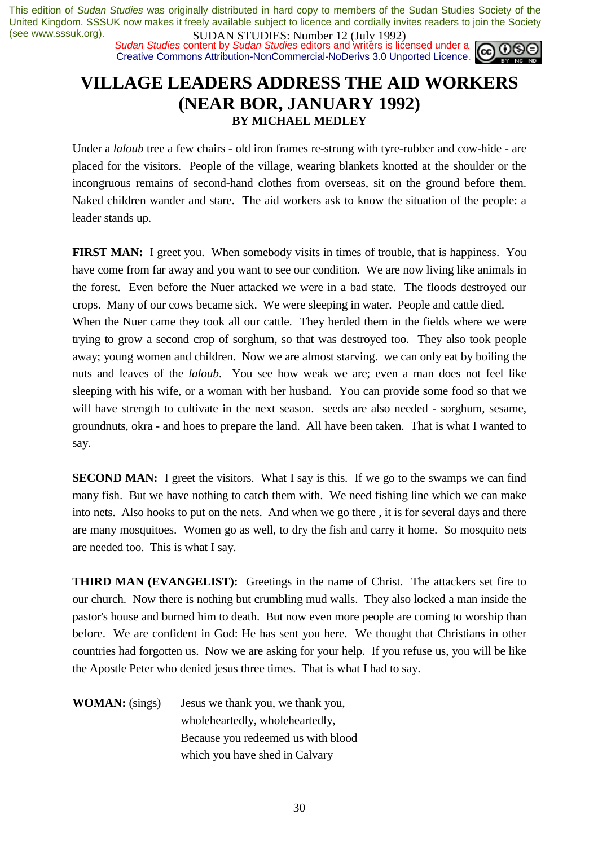**SUDAN STUDIES:** Number 12 (July 1772)<br>*Sudan Studies* content by *Sudan Studies* editors and writers is licensed under a Creative Commons Attribution-NonCommercial-NoDerivs 3.0 Unported Licence.



### **VILLAGE LEADERS ADDRESS THE AID WORKERS (NEAR BOR, JANUARY 1992) BY MICHAEL MEDLEY**

Under a *laloub* tree a few chairs - old iron frames re-strung with tyre-rubber and cow-hide - are placed for the visitors. People of the village, wearing blankets knotted at the shoulder or the incongruous remains of second-hand clothes from overseas, sit on the ground before them. Naked children wander and stare. The aid workers ask to know the situation of the people: a leader stands up.

**FIRST MAN:** I greet you. When somebody visits in times of trouble, that is happiness. You have come from far away and you want to see our condition. We are now living like animals in the forest. Even before the Nuer attacked we were in a bad state. The floods destroyed our crops. Many of our cows became sick. We were sleeping in water. People and cattle died. When the Nuer came they took all our cattle. They herded them in the fields where we were trying to grow a second crop of sorghum, so that was destroyed too. They also took people away; young women and children. Now we are almost starving. we can only eat by boiling the nuts and leaves of the *laloub*. You see how weak we are; even a man does not feel like sleeping with his wife, or a woman with her husband. You can provide some food so that we will have strength to cultivate in the next season. seeds are also needed - sorghum, sesame, groundnuts, okra - and hoes to prepare the land. All have been taken. That is what I wanted to say.

**SECOND MAN:** I greet the visitors. What I say is this. If we go to the swamps we can find many fish. But we have nothing to catch them with. We need fishing line which we can make into nets. Also hooks to put on the nets. And when we go there , it is for several days and there are many mosquitoes. Women go as well, to dry the fish and carry it home. So mosquito nets are needed too. This is what I say.

**THIRD MAN (EVANGELIST):** Greetings in the name of Christ. The attackers set fire to our church. Now there is nothing but crumbling mud walls. They also locked a man inside the pastor's house and burned him to death. But now even more people are coming to worship than before. We are confident in God: He has sent you here. We thought that Christians in other countries had forgotten us. Now we are asking for your help. If you refuse us, you will be like the Apostle Peter who denied jesus three times. That is what I had to say.

**WOMAN:** (sings) Jesus we thank you, we thank you, wholeheartedly, wholeheartedly, Because you redeemed us with blood which you have shed in Calvary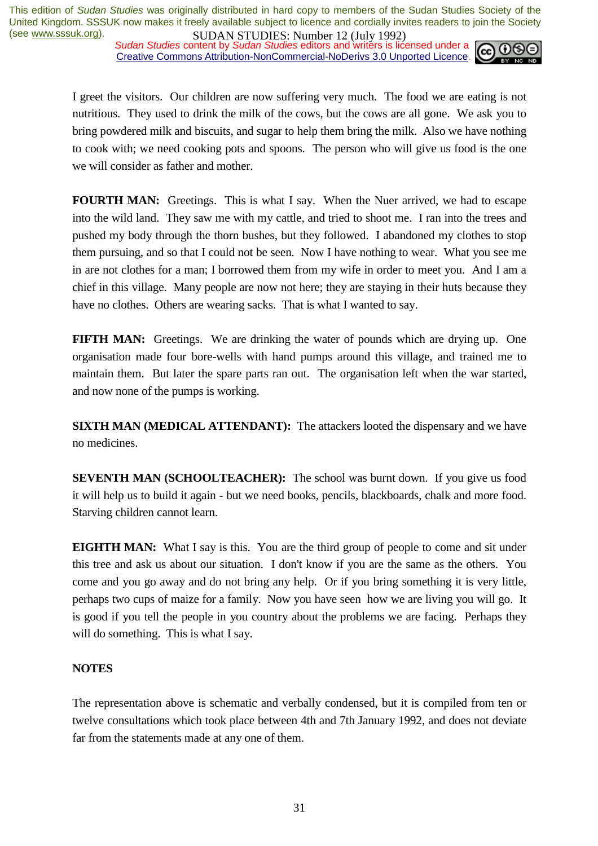*Sudan Studies* content by *Sudan Studies* editors and writers is licensed under a Creative Commons Attribution-NonCommercial-NoDerivs 3.0 Unported Licence.



I greet the visitors. Our children are now suffering very much. The food we are eating is not nutritious. They used to drink the milk of the cows, but the cows are all gone. We ask you to bring powdered milk and biscuits, and sugar to help them bring the milk. Also we have nothing to cook with; we need cooking pots and spoons. The person who will give us food is the one we will consider as father and mother.

**FOURTH MAN:** Greetings. This is what I say. When the Nuer arrived, we had to escape into the wild land. They saw me with my cattle, and tried to shoot me. I ran into the trees and pushed my body through the thorn bushes, but they followed. I abandoned my clothes to stop them pursuing, and so that I could not be seen. Now I have nothing to wear. What you see me in are not clothes for a man; I borrowed them from my wife in order to meet you. And I am a chief in this village. Many people are now not here; they are staying in their huts because they have no clothes. Others are wearing sacks. That is what I wanted to say.

**FIFTH MAN:** Greetings. We are drinking the water of pounds which are drying up. One organisation made four bore-wells with hand pumps around this village, and trained me to maintain them. But later the spare parts ran out. The organisation left when the war started, and now none of the pumps is working.

**SIXTH MAN (MEDICAL ATTENDANT):** The attackers looted the dispensary and we have no medicines.

**SEVENTH MAN (SCHOOLTEACHER):** The school was burnt down. If you give us food it will help us to build it again - but we need books, pencils, blackboards, chalk and more food. Starving children cannot learn.

**EIGHTH MAN:** What I say is this. You are the third group of people to come and sit under this tree and ask us about our situation. I don't know if you are the same as the others. You come and you go away and do not bring any help. Or if you bring something it is very little, perhaps two cups of maize for a family. Now you have seen how we are living you will go. It is good if you tell the people in you country about the problems we are facing. Perhaps they will do something. This is what I say.

#### **NOTES**

The representation above is schematic and verbally condensed, but it is compiled from ten or twelve consultations which took place between 4th and 7th January 1992, and does not deviate far from the statements made at any one of them.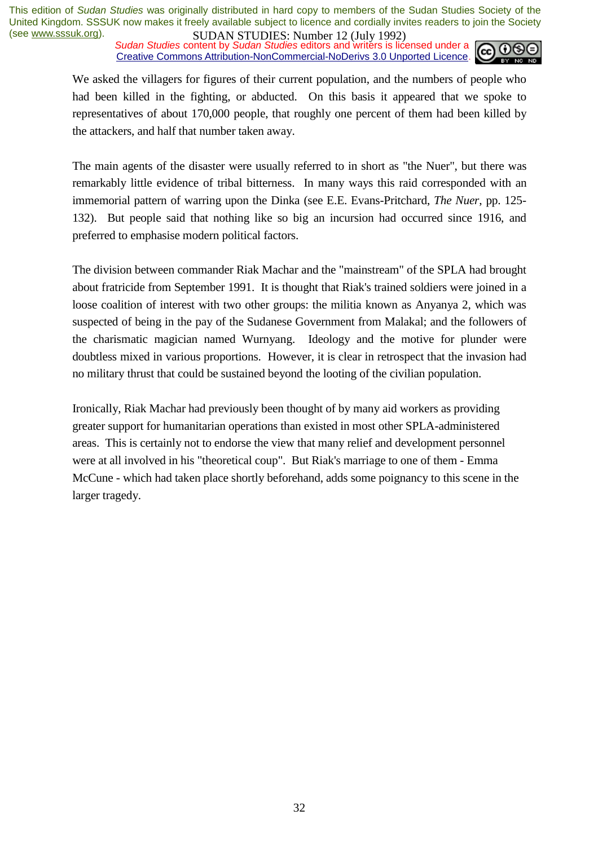**SUDAN STUDIES:** NUTTER 12 (July 1772)<br>Sudan Studies content by Sudan Studies editors and writers is licensed under a Creative Commons Attribution-NonCommercial-NoDerivs 3.0 Unported Licence.



We asked the villagers for figures of their current population, and the numbers of people who had been killed in the fighting, or abducted. On this basis it appeared that we spoke to representatives of about 170,000 people, that roughly one percent of them had been killed by the attackers, and half that number taken away.

The main agents of the disaster were usually referred to in short as "the Nuer", but there was remarkably little evidence of tribal bitterness. In many ways this raid corresponded with an immemorial pattern of warring upon the Dinka (see E.E. Evans-Pritchard, *The Nuer*, pp. 125- 132). But people said that nothing like so big an incursion had occurred since 1916, and preferred to emphasise modern political factors.

The division between commander Riak Machar and the "mainstream" of the SPLA had brought about fratricide from September 1991. It is thought that Riak's trained soldiers were joined in a loose coalition of interest with two other groups: the militia known as Anyanya 2, which was suspected of being in the pay of the Sudanese Government from Malakal; and the followers of the charismatic magician named Wurnyang. Ideology and the motive for plunder were doubtless mixed in various proportions. However, it is clear in retrospect that the invasion had no military thrust that could be sustained beyond the looting of the civilian population.

Ironically, Riak Machar had previously been thought of by many aid workers as providing greater support for humanitarian operations than existed in most other SPLA-administered areas. This is certainly not to endorse the view that many relief and development personnel were at all involved in his "theoretical coup". But Riak's marriage to one of them - Emma McCune - which had taken place shortly beforehand, adds some poignancy to this scene in the larger tragedy.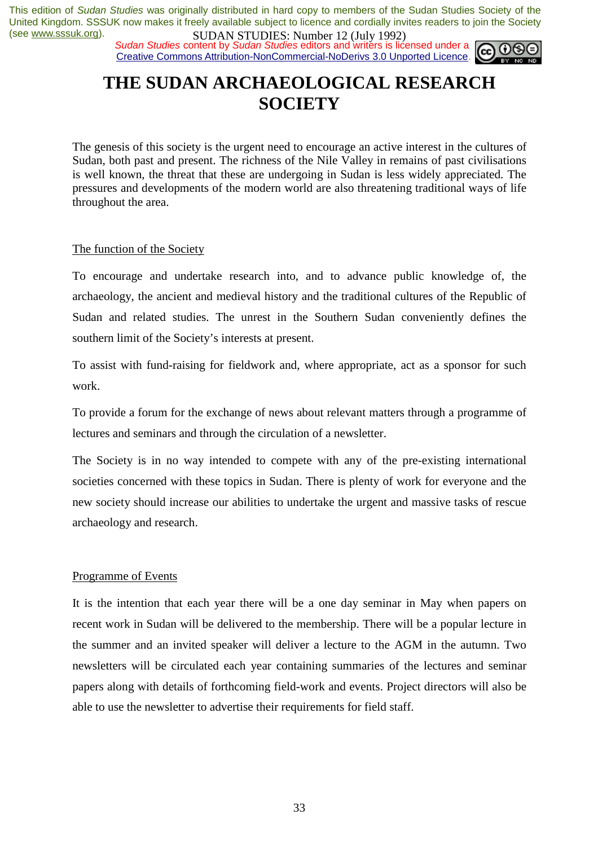**SUDAN STUDIES**: **NUTEL 12** (July 1772)<br>Sudan Studies content by Sudan Studies editors and writers is licensed under a Creative Commons Attribution-NonCommercial-NoDerivs 3.0 Unported Licence.



### **THE SUDAN ARCHAEOLOGICAL RESEARCH SOCIETY**

The genesis of this society is the urgent need to encourage an active interest in the cultures of Sudan, both past and present. The richness of the Nile Valley in remains of past civilisations is well known, the threat that these are undergoing in Sudan is less widely appreciated. The pressures and developments of the modern world are also threatening traditional ways of life throughout the area.

#### The function of the Society

To encourage and undertake research into, and to advance public knowledge of, the archaeology, the ancient and medieval history and the traditional cultures of the Republic of Sudan and related studies. The unrest in the Southern Sudan conveniently defines the southern limit of the Society's interests at present.

To assist with fund-raising for fieldwork and, where appropriate, act as a sponsor for such work.

To provide a forum for the exchange of news about relevant matters through a programme of lectures and seminars and through the circulation of a newsletter.

The Society is in no way intended to compete with any of the pre-existing international societies concerned with these topics in Sudan. There is plenty of work for everyone and the new society should increase our abilities to undertake the urgent and massive tasks of rescue archaeology and research.

#### Programme of Events

It is the intention that each year there will be a one day seminar in May when papers on recent work in Sudan will be delivered to the membership. There will be a popular lecture in the summer and an invited speaker will deliver a lecture to the AGM in the autumn. Two newsletters will be circulated each year containing summaries of the lectures and seminar papers along with details of forthcoming field-work and events. Project directors will also be able to use the newsletter to advertise their requirements for field staff.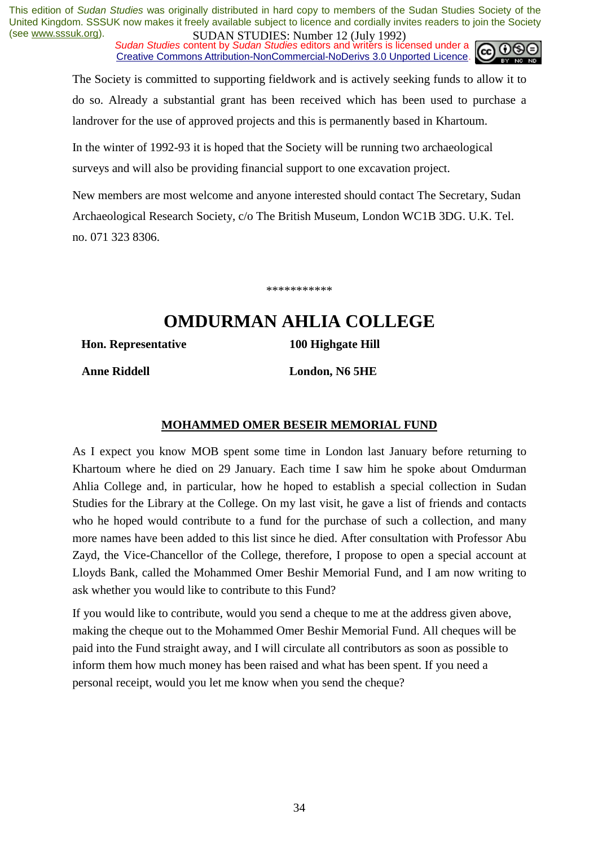*Sudan Studies* content by *Sudan Studies* editors and writers is licensed under a Creative Commons Attribution-NonCommercial-NoDerivs 3.0 Unported Licence.



The Society is committed to supporting fieldwork and is actively seeking funds to allow it to do so. Already a substantial grant has been received which has been used to purchase a landrover for the use of approved projects and this is permanently based in Khartoum.

In the winter of 1992-93 it is hoped that the Society will be running two archaeological surveys and will also be providing financial support to one excavation project.

New members are most welcome and anyone interested should contact The Secretary, Sudan Archaeological Research Society, c/o The British Museum, London WC1B 3DG. U.K. Tel. no. 071 323 8306.

\*\*\*\*\*\*\*\*\*\*\*

### **OMDURMAN AHLIA COLLEGE**

**Hon. Representative 100 Highgate Hill** 

 **Anne Riddell London, N6 5HE** 

#### **MOHAMMED OMER BESEIR MEMORIAL FUND**

As I expect you know MOB spent some time in London last January before returning to Khartoum where he died on 29 January. Each time I saw him he spoke about Omdurman Ahlia College and, in particular, how he hoped to establish a special collection in Sudan Studies for the Library at the College. On my last visit, he gave a list of friends and contacts who he hoped would contribute to a fund for the purchase of such a collection, and many more names have been added to this list since he died. After consultation with Professor Abu Zayd, the Vice-Chancellor of the College, therefore, I propose to open a special account at Lloyds Bank, called the Mohammed Omer Beshir Memorial Fund, and I am now writing to ask whether you would like to contribute to this Fund?

If you would like to contribute, would you send a cheque to me at the address given above, making the cheque out to the Mohammed Omer Beshir Memorial Fund. All cheques will be paid into the Fund straight away, and I will circulate all contributors as soon as possible to inform them how much money has been raised and what has been spent. If you need a personal receipt, would you let me know when you send the cheque?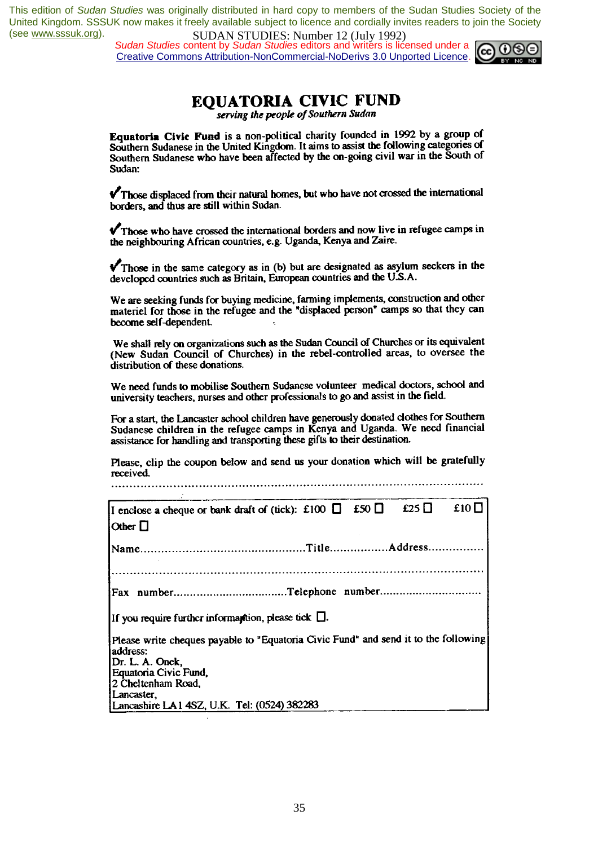*Sudan Studies* content by *Sudan Studies* editors and writers is licensed under a Creative Commons Attribution-NonCommercial-NoDerivs 3.0 Unported Licence.



#### **EOUATORIA CIVIC FUND**

serving the people of Southern Sudan

Equatoria Civic Fund is a non-political charity founded in 1992 by a group of Southern Sudanese in the United Kingdom. It aims to assist the following categories of Southern Sudanese who have been affected by the on-going civil war in the South of Sudan:

 $\sqrt{\ }$ Those displaced from their natural homes, but who have not crossed the international borders, and thus are still within Sudan.

 $\sqrt{\ }$ Those who have crossed the international borders and now live in refugee camps in the neighbouring African countries, e.g. Uganda, Kenya and Zaire.

 $\sqrt{\ }$  Those in the same category as in (b) but are designated as asylum seekers in the developed countries such as Britain, European countries and the U.S.A.

We are seeking funds for buying medicine, farming implements, construction and other materiel for those in the refugee and the "displaced person" camps so that they can become self-dependent.

We shall rely on organizations such as the Sudan Council of Churches or its equivalent (New Sudan Council of Churches) in the rebel-controlled areas, to oversee the distribution of these donations.

We need funds to mobilise Southern Sudanese volunteer medical doctors, school and university teachers, nurses and other professionals to go and assist in the field.

For a start, the Lancaster school children have generously donated clothes for Southern<br>Sudanese children in the refugee camps in Kenya and Uganda. We need financial assistance for handling and transporting these gifts to their destination.

Please, clip the coupon below and send us your donation which will be gratefully received. 

| I enclose a cheque or bank draft of (tick): £100 $\Box$ £50 $\Box$<br>$ $ Other $\Box$                                                                                          | £25 $\Box$ | £10 $\Box$ |
|---------------------------------------------------------------------------------------------------------------------------------------------------------------------------------|------------|------------|
|                                                                                                                                                                                 |            |            |
|                                                                                                                                                                                 |            |            |
| If you require further informantion, please tick $\square$ .                                                                                                                    |            |            |
| Please write cheques payable to "Equatoria Civic Fund" and send it to the following<br>address:<br>Dr. L. A. Onek,<br>Equatoria Civic Fund,<br>2 Cheltenham Road,<br>Lancaster. |            |            |
| Lancashire LA1 4SZ, U.K. Tel: (0524) 382283                                                                                                                                     |            |            |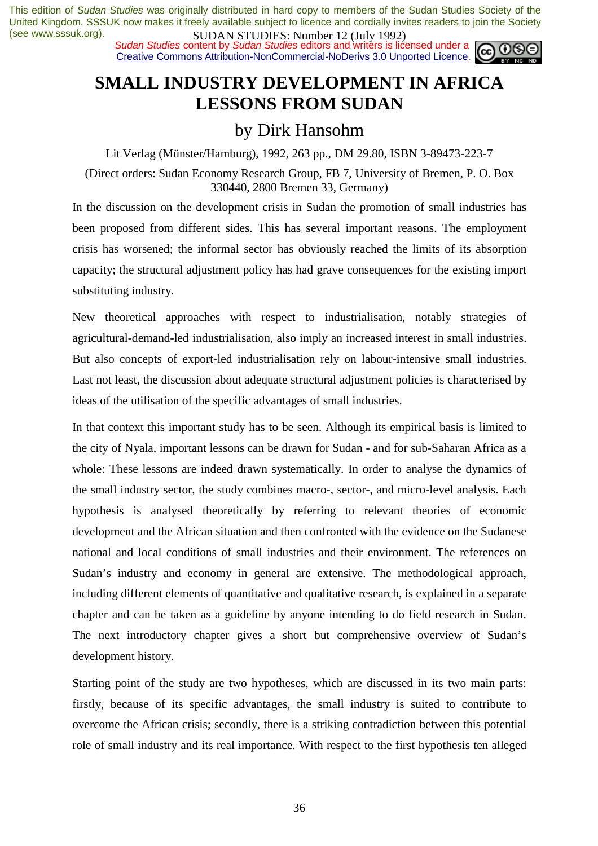**SUDAN STUDES:** NUTTER 12 (July 1772)<br>Sudan Studies content by Sudan Studies editors and writers is licensed under a  $\omega$ Creative Commons Attribution-NonCommercial-NoDerivs 3.0 Unported Licence.



### **SMALL INDUSTRY DEVELOPMENT IN AFRICA LESSONS FROM SUDAN**

### by Dirk Hansohm

Lit Verlag (Münster/Hamburg), 1992, 263 pp., DM 29.80, ISBN 3-89473-223-7

(Direct orders: Sudan Economy Research Group, FB 7, University of Bremen, P. O. Box 330440, 2800 Bremen 33, Germany)

In the discussion on the development crisis in Sudan the promotion of small industries has been proposed from different sides. This has several important reasons. The employment crisis has worsened; the informal sector has obviously reached the limits of its absorption capacity; the structural adjustment policy has had grave consequences for the existing import substituting industry.

New theoretical approaches with respect to industrialisation, notably strategies of agricultural-demand-led industrialisation, also imply an increased interest in small industries. But also concepts of export-led industrialisation rely on labour-intensive small industries. Last not least, the discussion about adequate structural adjustment policies is characterised by ideas of the utilisation of the specific advantages of small industries.

In that context this important study has to be seen. Although its empirical basis is limited to the city of Nyala, important lessons can be drawn for Sudan - and for sub-Saharan Africa as a whole: These lessons are indeed drawn systematically. In order to analyse the dynamics of the small industry sector, the study combines macro-, sector-, and micro-level analysis. Each hypothesis is analysed theoretically by referring to relevant theories of economic development and the African situation and then confronted with the evidence on the Sudanese national and local conditions of small industries and their environment. The references on Sudan's industry and economy in general are extensive. The methodological approach, including different elements of quantitative and qualitative research, is explained in a separate chapter and can be taken as a guideline by anyone intending to do field research in Sudan. The next introductory chapter gives a short but comprehensive overview of Sudan's development history.

Starting point of the study are two hypotheses, which are discussed in its two main parts: firstly, because of its specific advantages, the small industry is suited to contribute to overcome the African crisis; secondly, there is a striking contradiction between this potential role of small industry and its real importance. With respect to the first hypothesis ten alleged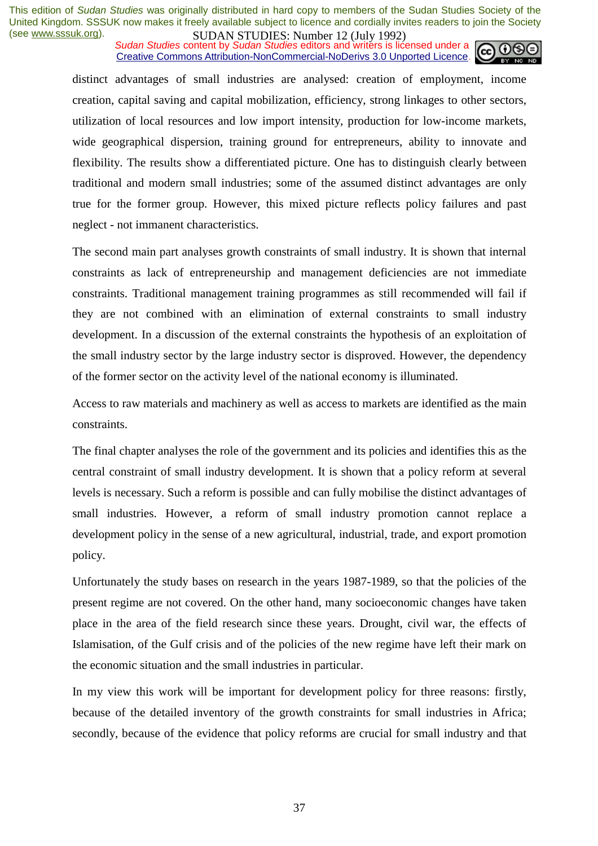**SUDAN STUDES.** NUTTED 12 (July 1772)<br>Sudan Studies content by Sudan Studies editors and writers is licensed under a Creative Commons Attribution-NonCommercial-NoDerivs 3.0 Unported Licence.



distinct advantages of small industries are analysed: creation of employment, income creation, capital saving and capital mobilization, efficiency, strong linkages to other sectors, utilization of local resources and low import intensity, production for low-income markets, wide geographical dispersion, training ground for entrepreneurs, ability to innovate and flexibility. The results show a differentiated picture. One has to distinguish clearly between traditional and modern small industries; some of the assumed distinct advantages are only true for the former group. However, this mixed picture reflects policy failures and past neglect - not immanent characteristics.

The second main part analyses growth constraints of small industry. It is shown that internal constraints as lack of entrepreneurship and management deficiencies are not immediate constraints. Traditional management training programmes as still recommended will fail if they are not combined with an elimination of external constraints to small industry development. In a discussion of the external constraints the hypothesis of an exploitation of the small industry sector by the large industry sector is disproved. However, the dependency of the former sector on the activity level of the national economy is illuminated.

Access to raw materials and machinery as well as access to markets are identified as the main constraints.

The final chapter analyses the role of the government and its policies and identifies this as the central constraint of small industry development. It is shown that a policy reform at several levels is necessary. Such a reform is possible and can fully mobilise the distinct advantages of small industries. However, a reform of small industry promotion cannot replace a development policy in the sense of a new agricultural, industrial, trade, and export promotion policy.

Unfortunately the study bases on research in the years 1987-1989, so that the policies of the present regime are not covered. On the other hand, many socioeconomic changes have taken place in the area of the field research since these years. Drought, civil war, the effects of Islamisation, of the Gulf crisis and of the policies of the new regime have left their mark on the economic situation and the small industries in particular.

In my view this work will be important for development policy for three reasons: firstly, because of the detailed inventory of the growth constraints for small industries in Africa; secondly, because of the evidence that policy reforms are crucial for small industry and that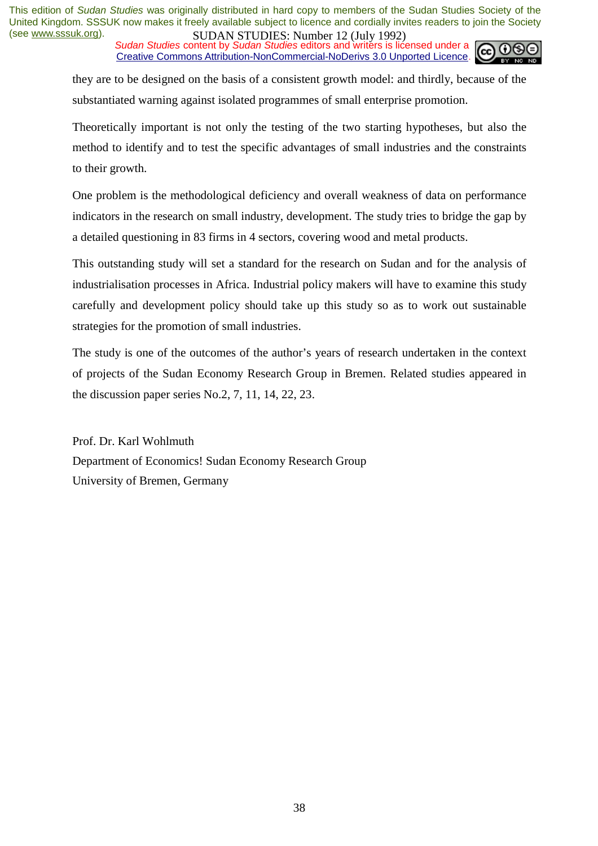**SUDAN STUDES.** NUTTED 12 (July 1772)<br>Sudan Studies content by Sudan Studies editors and writers is licensed under a Creative Commons Attribution-NonCommercial-NoDerivs 3.0 Unported Licence.



they are to be designed on the basis of a consistent growth model: and thirdly, because of the substantiated warning against isolated programmes of small enterprise promotion.

Theoretically important is not only the testing of the two starting hypotheses, but also the method to identify and to test the specific advantages of small industries and the constraints to their growth.

One problem is the methodological deficiency and overall weakness of data on performance indicators in the research on small industry, development. The study tries to bridge the gap by a detailed questioning in 83 firms in 4 sectors, covering wood and metal products.

This outstanding study will set a standard for the research on Sudan and for the analysis of industrialisation processes in Africa. Industrial policy makers will have to examine this study carefully and development policy should take up this study so as to work out sustainable strategies for the promotion of small industries.

The study is one of the outcomes of the author's years of research undertaken in the context of projects of the Sudan Economy Research Group in Bremen. Related studies appeared in the discussion paper series No.2, 7, 11, 14, 22, 23.

Prof. Dr. Karl Wohlmuth Department of Economics! Sudan Economy Research Group University of Bremen, Germany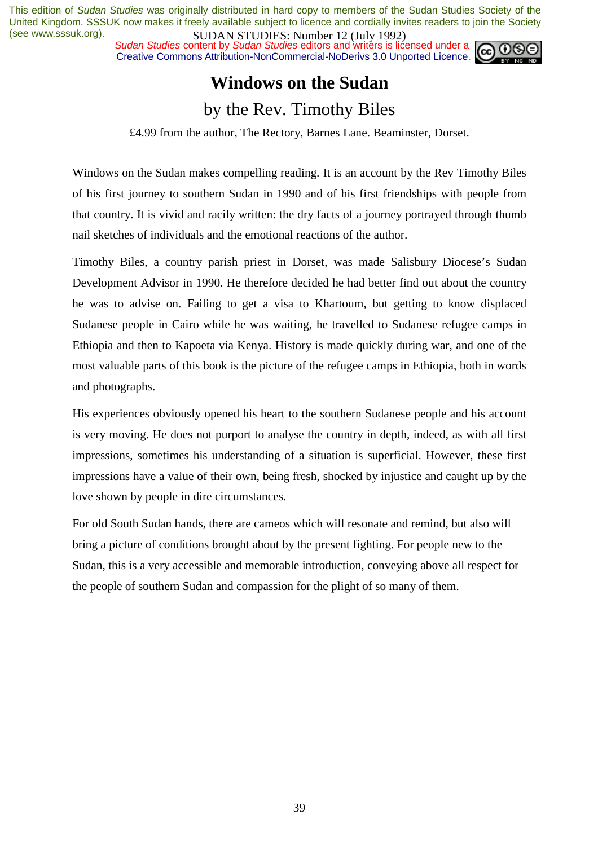*Sudan Studies* content by *Sudan Studies* editors and writers is licensed under a Creative Commons Attribution-NonCommercial-NoDerivs 3.0 Unported Licence.



### **Windows on the Sudan**  by the Rev. Timothy Biles

£4.99 from the author, The Rectory, Barnes Lane. Beaminster, Dorset.

Windows on the Sudan makes compelling reading. It is an account by the Rev Timothy Biles of his first journey to southern Sudan in 1990 and of his first friendships with people from that country. It is vivid and racily written: the dry facts of a journey portrayed through thumb nail sketches of individuals and the emotional reactions of the author.

Timothy Biles, a country parish priest in Dorset, was made Salisbury Diocese's Sudan Development Advisor in 1990. He therefore decided he had better find out about the country he was to advise on. Failing to get a visa to Khartoum, but getting to know displaced Sudanese people in Cairo while he was waiting, he travelled to Sudanese refugee camps in Ethiopia and then to Kapoeta via Kenya. History is made quickly during war, and one of the most valuable parts of this book is the picture of the refugee camps in Ethiopia, both in words and photographs.

His experiences obviously opened his heart to the southern Sudanese people and his account is very moving. He does not purport to analyse the country in depth, indeed, as with all first impressions, sometimes his understanding of a situation is superficial. However, these first impressions have a value of their own, being fresh, shocked by injustice and caught up by the love shown by people in dire circumstances.

For old South Sudan hands, there are cameos which will resonate and remind, but also will bring a picture of conditions brought about by the present fighting. For people new to the Sudan, this is a very accessible and memorable introduction, conveying above all respect for the people of southern Sudan and compassion for the plight of so many of them.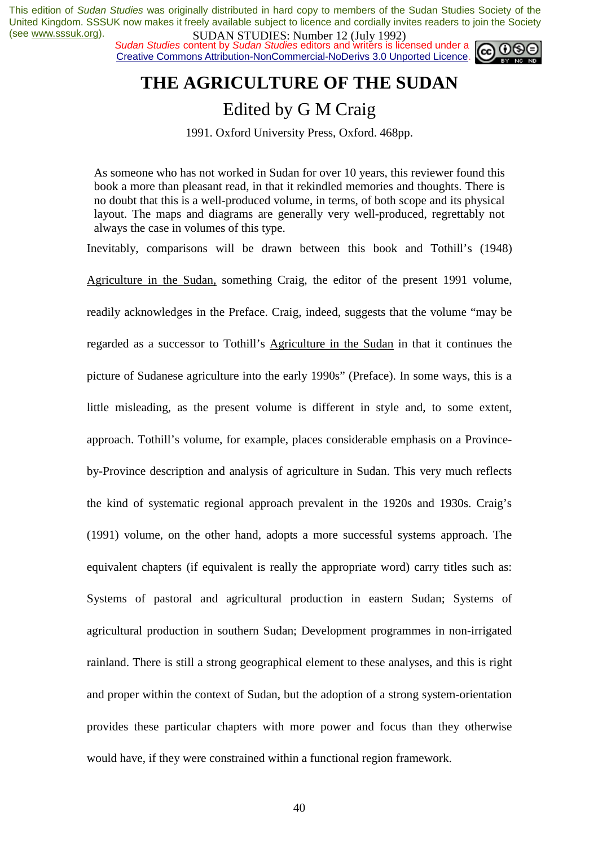*Sudan Studies* content by *Sudan Studies* editors and writers is licensed under a Creative Commons Attribution-NonCommercial-NoDerivs 3.0 Unported Licence.



### **THE AGRICULTURE OF THE SUDAN**

### Edited by G M Craig

1991. Oxford University Press, Oxford. 468pp.

As someone who has not worked in Sudan for over 10 years, this reviewer found this book a more than pleasant read, in that it rekindled memories and thoughts. There is no doubt that this is a well-produced volume, in terms, of both scope and its physical layout. The maps and diagrams are generally very well-produced, regrettably not always the case in volumes of this type.

Inevitably, comparisons will be drawn between this book and Tothill's (1948) Agriculture in the Sudan, something Craig, the editor of the present 1991 volume, readily acknowledges in the Preface. Craig, indeed, suggests that the volume "may be regarded as a successor to Tothill's Agriculture in the Sudan in that it continues the picture of Sudanese agriculture into the early 1990s" (Preface). In some ways, this is a little misleading, as the present volume is different in style and, to some extent, approach. Tothill's volume, for example, places considerable emphasis on a Provinceby-Province description and analysis of agriculture in Sudan. This very much reflects the kind of systematic regional approach prevalent in the 1920s and 1930s. Craig's (1991) volume, on the other hand, adopts a more successful systems approach. The equivalent chapters (if equivalent is really the appropriate word) carry titles such as: Systems of pastoral and agricultural production in eastern Sudan; Systems of agricultural production in southern Sudan; Development programmes in non-irrigated rainland. There is still a strong geographical element to these analyses, and this is right and proper within the context of Sudan, but the adoption of a strong system-orientation provides these particular chapters with more power and focus than they otherwise would have, if they were constrained within a functional region framework.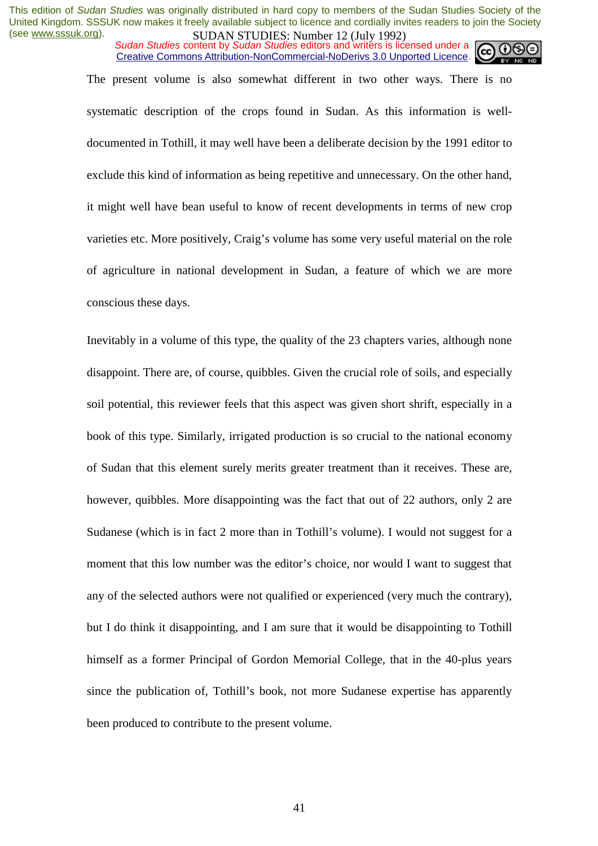*Sudan Studies* content by *Sudan Studies* editors and writers is licensed under a Creative Commons Attribution-NonCommercial-NoDerivs 3.0 Unported Licence.

The present volume is also somewhat different in two other ways. There is no systematic description of the crops found in Sudan. As this information is welldocumented in Tothill, it may well have been a deliberate decision by the 1991 editor to exclude this kind of information as being repetitive and unnecessary. On the other hand, it might well have bean useful to know of recent developments in terms of new crop varieties etc. More positively, Craig's volume has some very useful material on the role

of agriculture in national development in Sudan, a feature of which we are more conscious these days.

Inevitably in a volume of this type, the quality of the 23 chapters varies, although none disappoint. There are, of course, quibbles. Given the crucial role of soils, and especially soil potential, this reviewer feels that this aspect was given short shrift, especially in a book of this type. Similarly, irrigated production is so crucial to the national economy of Sudan that this element surely merits greater treatment than it receives. These are, however, quibbles. More disappointing was the fact that out of 22 authors, only 2 are Sudanese (which is in fact 2 more than in Tothill's volume). I would not suggest for a moment that this low number was the editor's choice, nor would I want to suggest that any of the selected authors were not qualified or experienced (very much the contrary), but I do think it disappointing, and I am sure that it would be disappointing to Tothill himself as a former Principal of Gordon Memorial College, that in the 40-plus years since the publication of, Tothill's book, not more Sudanese expertise has apparently been produced to contribute to the present volume.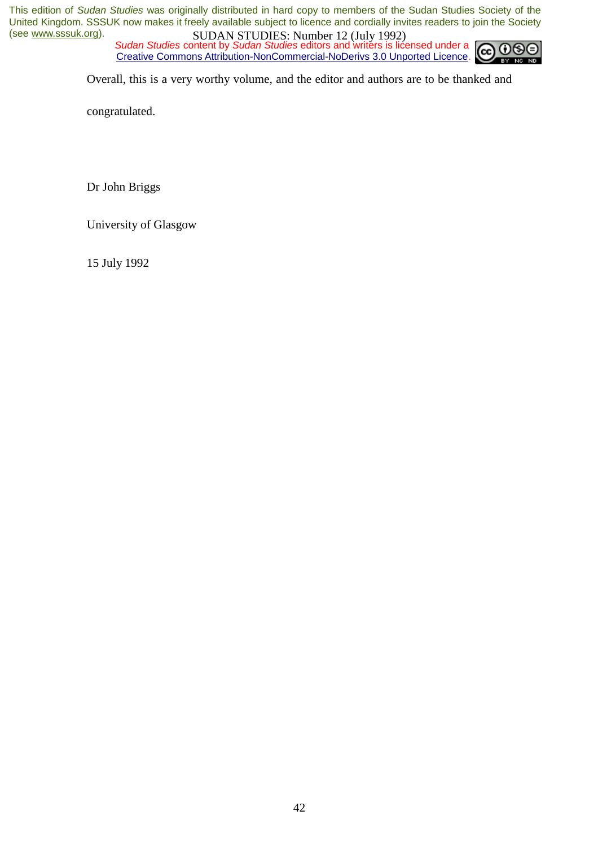*Sudan Studies* content by *Sudan Studies* editors and writers is licensed under a CC. Creative Commons Attribution-NonCommercial-NoDerivs 3.0 Unported Licence.



Overall, this is a very worthy volume, and the editor and authors are to be thanked and

congratulated.

Dr John Briggs

University of Glasgow

15 July 1992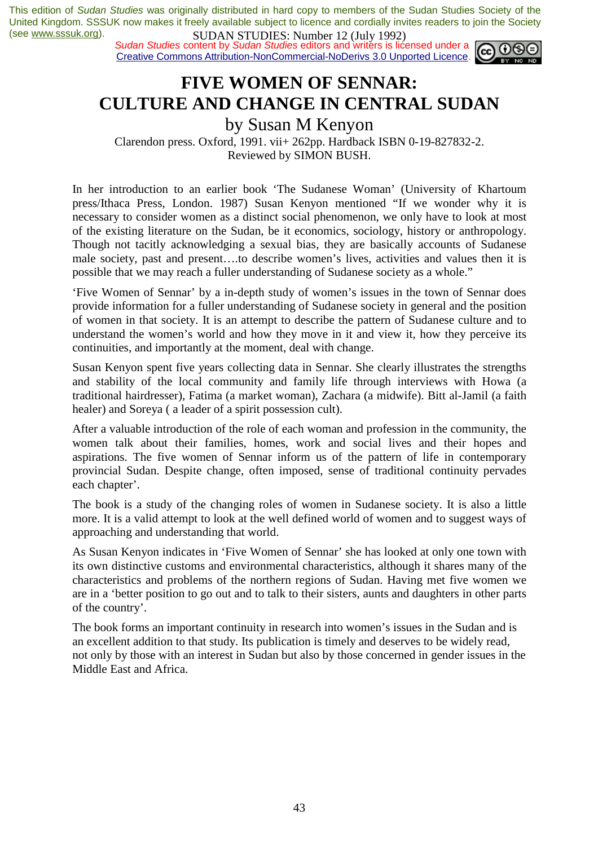*Sudan Studies* content by *Sudan Studies* editors and writers is licensed under a Creative Commons Attribution-NonCommercial-NoDerivs 3.0 Unported Licence.



### **FIVE WOMEN OF SENNAR: CULTURE AND CHANGE IN CENTRAL SUDAN**

by Susan M Kenyon

Clarendon press. Oxford, 1991. vii+ 262pp. Hardback ISBN 0-19-827832-2. Reviewed by SIMON BUSH.

In her introduction to an earlier book 'The Sudanese Woman' (University of Khartoum press/Ithaca Press, London. 1987) Susan Kenyon mentioned "If we wonder why it is necessary to consider women as a distinct social phenomenon, we only have to look at most of the existing literature on the Sudan, be it economics, sociology, history or anthropology. Though not tacitly acknowledging a sexual bias, they are basically accounts of Sudanese male society, past and present….to describe women's lives, activities and values then it is possible that we may reach a fuller understanding of Sudanese society as a whole."

'Five Women of Sennar' by a in-depth study of women's issues in the town of Sennar does provide information for a fuller understanding of Sudanese society in general and the position of women in that society. It is an attempt to describe the pattern of Sudanese culture and to understand the women's world and how they move in it and view it, how they perceive its continuities, and importantly at the moment, deal with change.

Susan Kenyon spent five years collecting data in Sennar. She clearly illustrates the strengths and stability of the local community and family life through interviews with Howa (a traditional hairdresser), Fatima (a market woman), Zachara (a midwife). Bitt al-Jamil (a faith healer) and Soreya ( a leader of a spirit possession cult).

After a valuable introduction of the role of each woman and profession in the community, the women talk about their families, homes, work and social lives and their hopes and aspirations. The five women of Sennar inform us of the pattern of life in contemporary provincial Sudan. Despite change, often imposed, sense of traditional continuity pervades each chapter'.

The book is a study of the changing roles of women in Sudanese society. It is also a little more. It is a valid attempt to look at the well defined world of women and to suggest ways of approaching and understanding that world.

As Susan Kenyon indicates in 'Five Women of Sennar' she has looked at only one town with its own distinctive customs and environmental characteristics, although it shares many of the characteristics and problems of the northern regions of Sudan. Having met five women we are in a 'better position to go out and to talk to their sisters, aunts and daughters in other parts of the country'.

The book forms an important continuity in research into women's issues in the Sudan and is an excellent addition to that study. Its publication is timely and deserves to be widely read, not only by those with an interest in Sudan but also by those concerned in gender issues in the Middle East and Africa.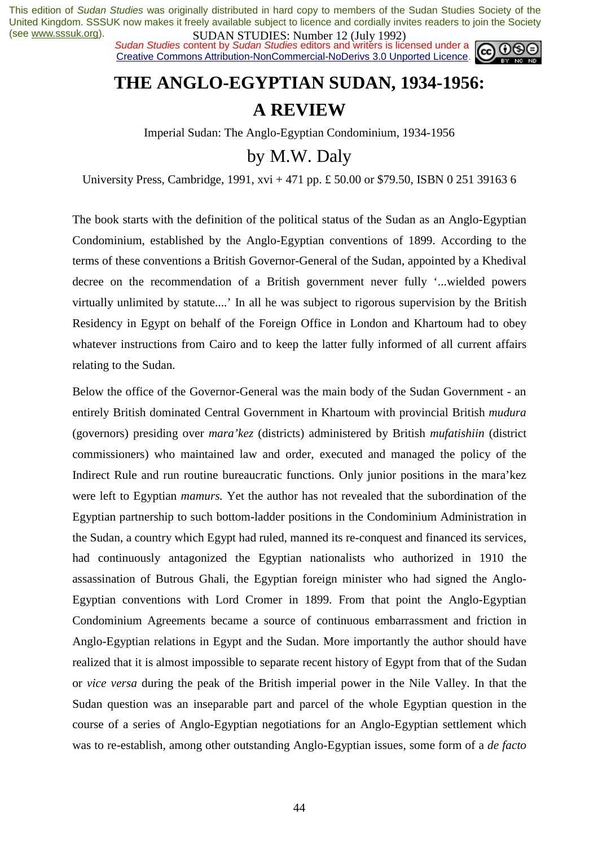**SUDAN STUDIES:** NUTTER 12 (July 1772)<br>Sudan Studies content by Sudan Studies editors and writers is licensed under a Creative Commons Attribution-NonCommercial-NoDerivs 3.0 Unported Licence.



# **THE ANGLO-EGYPTIAN SUDAN, 1934-1956: A REVIEW**

Imperial Sudan: The Anglo-Egyptian Condominium, 1934-1956

by M.W. Daly

University Press, Cambridge, 1991, xvi + 471 pp. £ 50.00 or \$79.50, ISBN 0 251 39163 6

The book starts with the definition of the political status of the Sudan as an Anglo-Egyptian Condominium, established by the Anglo-Egyptian conventions of 1899. According to the terms of these conventions a British Governor-General of the Sudan, appointed by a Khedival decree on the recommendation of a British government never fully '...wielded powers virtually unlimited by statute....' In all he was subject to rigorous supervision by the British Residency in Egypt on behalf of the Foreign Office in London and Khartoum had to obey whatever instructions from Cairo and to keep the latter fully informed of all current affairs relating to the Sudan.

Below the office of the Governor-General was the main body of the Sudan Government - an entirely British dominated Central Government in Khartoum with provincial British *mudura*  (governors) presiding over *mara'kez* (districts) administered by British *mufatishiin* (district commissioners) who maintained law and order, executed and managed the policy of the Indirect Rule and run routine bureaucratic functions. Only junior positions in the mara'kez were left to Egyptian *mamurs.* Yet the author has not revealed that the subordination of the Egyptian partnership to such bottom-ladder positions in the Condominium Administration in the Sudan, a country which Egypt had ruled, manned its re-conquest and financed its services, had continuously antagonized the Egyptian nationalists who authorized in 1910 the assassination of Butrous Ghali, the Egyptian foreign minister who had signed the Anglo-Egyptian conventions with Lord Cromer in 1899. From that point the Anglo-Egyptian Condominium Agreements became a source of continuous embarrassment and friction in Anglo-Egyptian relations in Egypt and the Sudan. More importantly the author should have realized that it is almost impossible to separate recent history of Egypt from that of the Sudan or *vice versa* during the peak of the British imperial power in the Nile Valley. In that the Sudan question was an inseparable part and parcel of the whole Egyptian question in the course of a series of Anglo-Egyptian negotiations for an Anglo-Egyptian settlement which was to re-establish, among other outstanding Anglo-Egyptian issues, some form of a *de facto*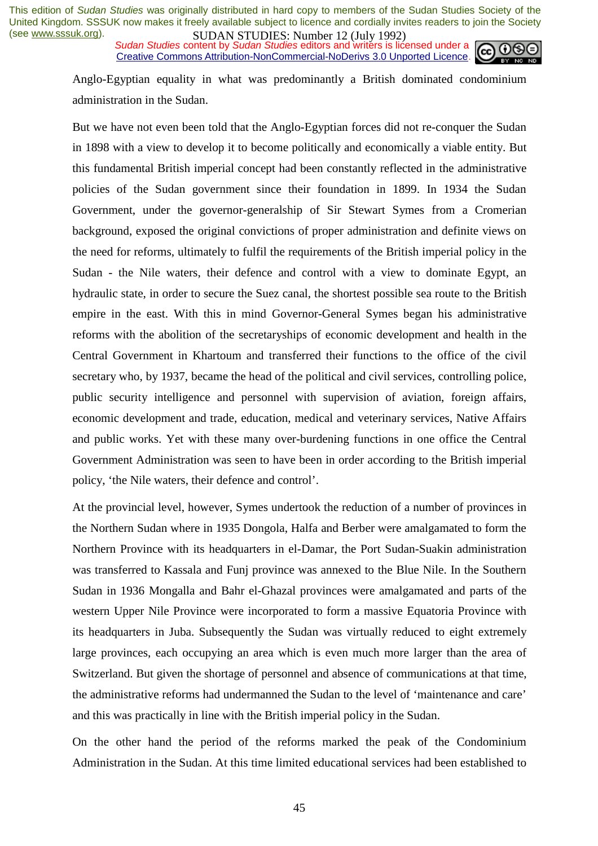**SUDAN STUDES.** NUTTED 12 (July 1772)<br>Sudan Studies content by Sudan Studies editors and writers is licensed under a Creative Commons Attribution-NonCommercial-NoDerivs 3.0 Unported Licence.



Anglo-Egyptian equality in what was predominantly a British dominated condominium administration in the Sudan.

But we have not even been told that the Anglo-Egyptian forces did not re-conquer the Sudan in 1898 with a view to develop it to become politically and economically a viable entity. But this fundamental British imperial concept had been constantly reflected in the administrative policies of the Sudan government since their foundation in 1899. In 1934 the Sudan Government, under the governor-generalship of Sir Stewart Symes from a Cromerian background, exposed the original convictions of proper administration and definite views on the need for reforms, ultimately to fulfil the requirements of the British imperial policy in the Sudan - the Nile waters, their defence and control with a view to dominate Egypt, an hydraulic state, in order to secure the Suez canal, the shortest possible sea route to the British empire in the east. With this in mind Governor-General Symes began his administrative reforms with the abolition of the secretaryships of economic development and health in the Central Government in Khartoum and transferred their functions to the office of the civil secretary who, by 1937, became the head of the political and civil services, controlling police, public security intelligence and personnel with supervision of aviation, foreign affairs, economic development and trade, education, medical and veterinary services, Native Affairs and public works. Yet with these many over-burdening functions in one office the Central Government Administration was seen to have been in order according to the British imperial policy, 'the Nile waters, their defence and control'.

At the provincial level, however, Symes undertook the reduction of a number of provinces in the Northern Sudan where in 1935 Dongola, Halfa and Berber were amalgamated to form the Northern Province with its headquarters in el-Damar, the Port Sudan-Suakin administration was transferred to Kassala and Funj province was annexed to the Blue Nile. In the Southern Sudan in 1936 Mongalla and Bahr el-Ghazal provinces were amalgamated and parts of the western Upper Nile Province were incorporated to form a massive Equatoria Province with its headquarters in Juba. Subsequently the Sudan was virtually reduced to eight extremely large provinces, each occupying an area which is even much more larger than the area of Switzerland. But given the shortage of personnel and absence of communications at that time, the administrative reforms had undermanned the Sudan to the level of 'maintenance and care' and this was practically in line with the British imperial policy in the Sudan.

On the other hand the period of the reforms marked the peak of the Condominium Administration in the Sudan. At this time limited educational services had been established to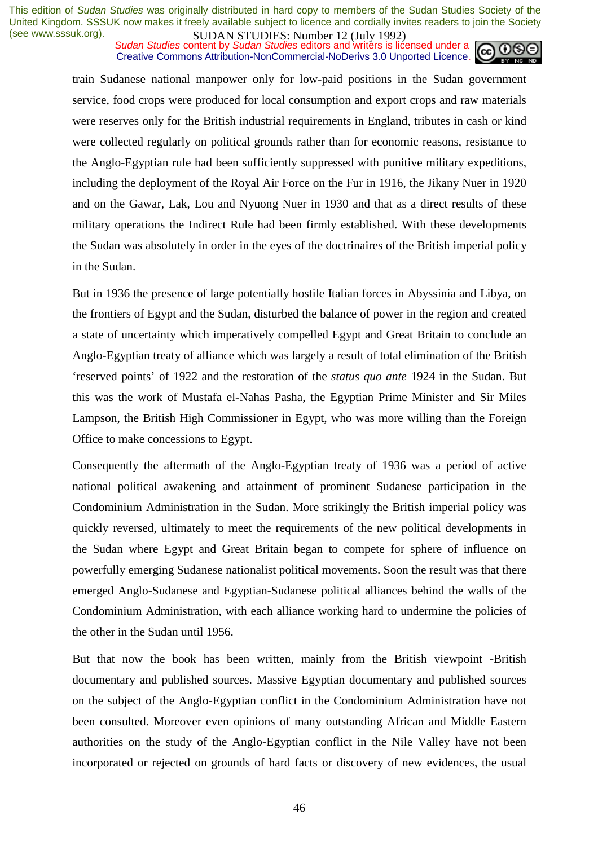#### **SUDAN STUDES.** NUTTED 12 (July 1772)<br>Sudan Studies content by Sudan Studies editors and writers is licensed under a Creative Commons Attribution-NonCommercial-NoDerivs 3.0 Unported Licence.



train Sudanese national manpower only for low-paid positions in the Sudan government service, food crops were produced for local consumption and export crops and raw materials were reserves only for the British industrial requirements in England, tributes in cash or kind were collected regularly on political grounds rather than for economic reasons, resistance to the Anglo-Egyptian rule had been sufficiently suppressed with punitive military expeditions, including the deployment of the Royal Air Force on the Fur in 1916, the Jikany Nuer in 1920 and on the Gawar, Lak, Lou and Nyuong Nuer in 1930 and that as a direct results of these military operations the Indirect Rule had been firmly established. With these developments the Sudan was absolutely in order in the eyes of the doctrinaires of the British imperial policy in the Sudan.

But in 1936 the presence of large potentially hostile Italian forces in Abyssinia and Libya, on the frontiers of Egypt and the Sudan, disturbed the balance of power in the region and created a state of uncertainty which imperatively compelled Egypt and Great Britain to conclude an Anglo-Egyptian treaty of alliance which was largely a result of total elimination of the British 'reserved points' of 1922 and the restoration of the *status quo ante* 1924 in the Sudan. But this was the work of Mustafa el-Nahas Pasha, the Egyptian Prime Minister and Sir Miles Lampson, the British High Commissioner in Egypt, who was more willing than the Foreign Office to make concessions to Egypt.

Consequently the aftermath of the Anglo-Egyptian treaty of 1936 was a period of active national political awakening and attainment of prominent Sudanese participation in the Condominium Administration in the Sudan. More strikingly the British imperial policy was quickly reversed, ultimately to meet the requirements of the new political developments in the Sudan where Egypt and Great Britain began to compete for sphere of influence on powerfully emerging Sudanese nationalist political movements. Soon the result was that there emerged Anglo-Sudanese and Egyptian-Sudanese political alliances behind the walls of the Condominium Administration, with each alliance working hard to undermine the policies of the other in the Sudan until 1956.

But that now the book has been written, mainly from the British viewpoint -British documentary and published sources. Massive Egyptian documentary and published sources on the subject of the Anglo-Egyptian conflict in the Condominium Administration have not been consulted. Moreover even opinions of many outstanding African and Middle Eastern authorities on the study of the Anglo-Egyptian conflict in the Nile Valley have not been incorporated or rejected on grounds of hard facts or discovery of new evidences, the usual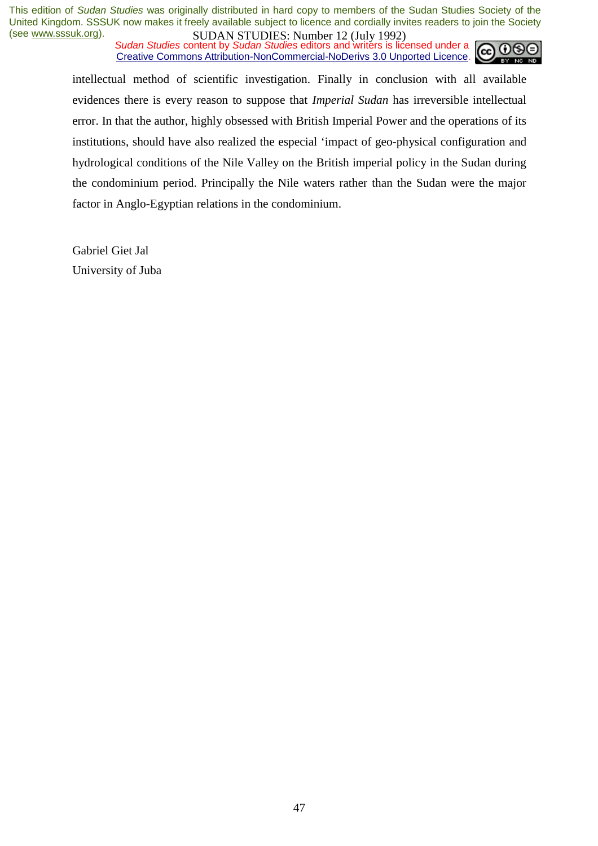*Sudan Studies* content by *Sudan Studies* editors and writers is licensed under a Creative Commons Attribution-NonCommercial-NoDerivs 3.0 Unported Licence.



intellectual method of scientific investigation. Finally in conclusion with all available evidences there is every reason to suppose that *Imperial Sudan* has irreversible intellectual error. In that the author, highly obsessed with British Imperial Power and the operations of its institutions, should have also realized the especial 'impact of geo-physical configuration and hydrological conditions of the Nile Valley on the British imperial policy in the Sudan during the condominium period. Principally the Nile waters rather than the Sudan were the major factor in Anglo-Egyptian relations in the condominium.

Gabriel Giet Jal University of Juba